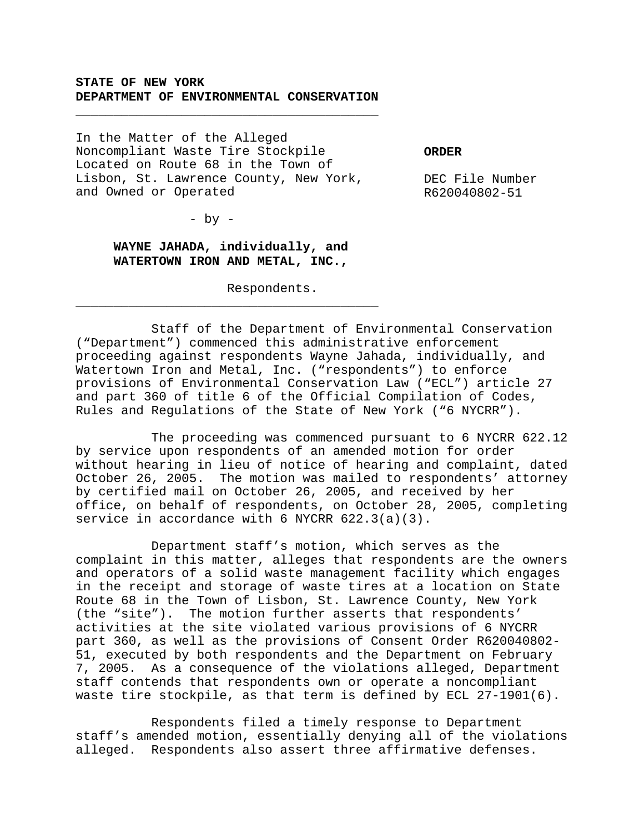## **STATE OF NEW YORK DEPARTMENT OF ENVIRONMENTAL CONSERVATION**

\_\_\_\_\_\_\_\_\_\_\_\_\_\_\_\_\_\_\_\_\_\_\_\_\_\_\_\_\_\_\_\_\_\_\_\_\_\_\_\_

In the Matter of the Alleged Noncompliant Waste Tire Stockpile Located on Route 68 in the Town of Lisbon, St. Lawrence County, New York, and Owned or Operated

**ORDER**

DEC File Number R620040802-51

- by -

## **WAYNE JAHADA, individually, and WATERTOWN IRON AND METAL, INC.,**

\_\_\_\_\_\_\_\_\_\_\_\_\_\_\_\_\_\_\_\_\_\_\_\_\_\_\_\_\_\_\_\_\_\_\_\_\_\_\_\_

Respondents.

Staff of the Department of Environmental Conservation ("Department") commenced this administrative enforcement proceeding against respondents Wayne Jahada, individually, and Watertown Iron and Metal, Inc. ("respondents") to enforce provisions of Environmental Conservation Law ("ECL") article 27 and part 360 of title 6 of the Official Compilation of Codes, Rules and Regulations of the State of New York ("6 NYCRR").

The proceeding was commenced pursuant to 6 NYCRR 622.12 by service upon respondents of an amended motion for order without hearing in lieu of notice of hearing and complaint, dated October 26, 2005. The motion was mailed to respondents' attorney by certified mail on October 26, 2005, and received by her office, on behalf of respondents, on October 28, 2005, completing service in accordance with 6 NYCRR 622.3(a)(3).

Department staff's motion, which serves as the complaint in this matter, alleges that respondents are the owners and operators of a solid waste management facility which engages in the receipt and storage of waste tires at a location on State Route 68 in the Town of Lisbon, St. Lawrence County, New York (the "site"). The motion further asserts that respondents' activities at the site violated various provisions of 6 NYCRR part 360, as well as the provisions of Consent Order R620040802- 51, executed by both respondents and the Department on February 7, 2005. As a consequence of the violations alleged, Department staff contends that respondents own or operate a noncompliant waste tire stockpile, as that term is defined by ECL 27-1901(6).

Respondents filed a timely response to Department staff's amended motion, essentially denying all of the violations alleged. Respondents also assert three affirmative defenses.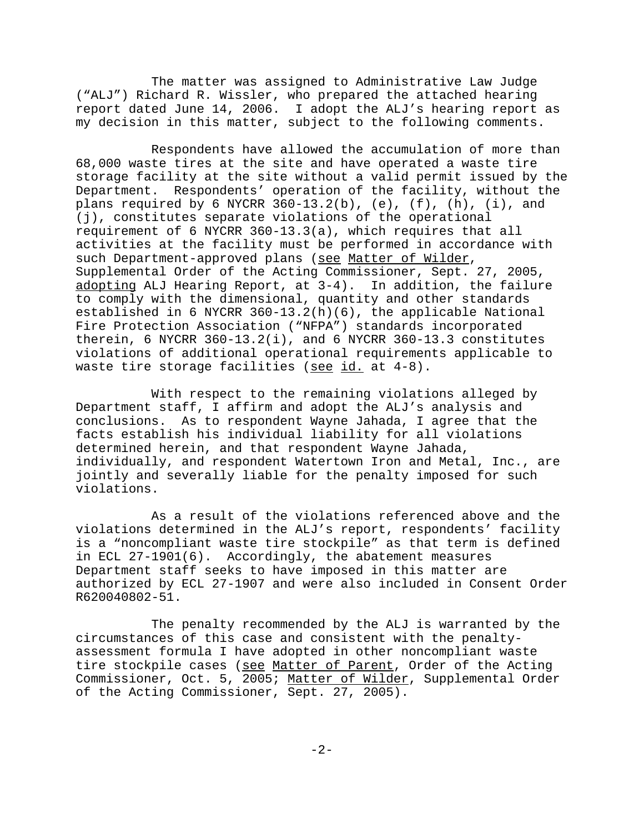The matter was assigned to Administrative Law Judge ("ALJ") Richard R. Wissler, who prepared the attached hearing report dated June 14, 2006. I adopt the ALJ's hearing report as my decision in this matter, subject to the following comments.

Respondents have allowed the accumulation of more than 68,000 waste tires at the site and have operated a waste tire storage facility at the site without a valid permit issued by the Department. Respondents' operation of the facility, without the plans required by 6 NYCRR  $360-13.2(b)$ , (e), (f), (h), (i), and (j), constitutes separate violations of the operational requirement of 6 NYCRR 360-13.3(a), which requires that all activities at the facility must be performed in accordance with such Department-approved plans (see Matter of Wilder, Supplemental Order of the Acting Commissioner, Sept. 27, 2005, adopting ALJ Hearing Report, at 3-4). In addition, the failure to comply with the dimensional, quantity and other standards established in 6 NYCRR 360-13.2(h)(6), the applicable National Fire Protection Association ("NFPA") standards incorporated therein, 6 NYCRR 360-13.2(i), and 6 NYCRR 360-13.3 constitutes violations of additional operational requirements applicable to waste tire storage facilities (see id. at 4-8).

With respect to the remaining violations alleged by Department staff, I affirm and adopt the ALJ's analysis and conclusions. As to respondent Wayne Jahada, I agree that the facts establish his individual liability for all violations determined herein, and that respondent Wayne Jahada, individually, and respondent Watertown Iron and Metal, Inc., are jointly and severally liable for the penalty imposed for such violations.

As a result of the violations referenced above and the violations determined in the ALJ's report, respondents' facility is a "noncompliant waste tire stockpile" as that term is defined in ECL 27-1901(6). Accordingly, the abatement measures Department staff seeks to have imposed in this matter are authorized by ECL 27-1907 and were also included in Consent Order R620040802-51.

The penalty recommended by the ALJ is warranted by the circumstances of this case and consistent with the penaltyassessment formula I have adopted in other noncompliant waste tire stockpile cases (see Matter of Parent, Order of the Acting Commissioner, Oct. 5, 2005; Matter of Wilder, Supplemental Order of the Acting Commissioner, Sept. 27, 2005).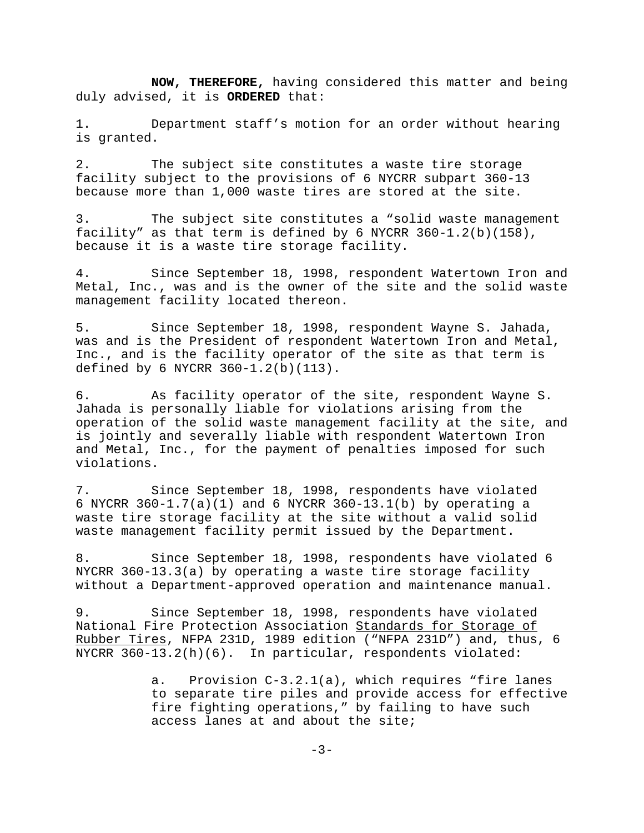**NOW, THEREFORE,** having considered this matter and being duly advised, it is **ORDERED** that:

1. Department staff's motion for an order without hearing is granted.

2. The subject site constitutes a waste tire storage facility subject to the provisions of 6 NYCRR subpart 360-13 because more than 1,000 waste tires are stored at the site.

3. The subject site constitutes a "solid waste management facility" as that term is defined by 6 NYCRR  $360-1.2(b)(158)$ , because it is a waste tire storage facility.

4. Since September 18, 1998, respondent Watertown Iron and Metal, Inc., was and is the owner of the site and the solid waste management facility located thereon.

5. Since September 18, 1998, respondent Wayne S. Jahada, was and is the President of respondent Watertown Iron and Metal, Inc., and is the facility operator of the site as that term is defined by 6 NYCRR 360-1.2(b)(113).

6. As facility operator of the site, respondent Wayne S. Jahada is personally liable for violations arising from the operation of the solid waste management facility at the site, and is jointly and severally liable with respondent Watertown Iron and Metal, Inc., for the payment of penalties imposed for such violations.

7. Since September 18, 1998, respondents have violated 6 NYCRR  $360-1.7(a)(1)$  and 6 NYCRR  $360-13.1(b)$  by operating a waste tire storage facility at the site without a valid solid waste management facility permit issued by the Department.

8. Since September 18, 1998, respondents have violated 6 NYCRR 360-13.3(a) by operating a waste tire storage facility without a Department-approved operation and maintenance manual.

9. Since September 18, 1998, respondents have violated National Fire Protection Association Standards for Storage of Rubber Tires, NFPA 231D, 1989 edition ("NFPA 231D") and, thus, 6 NYCRR 360-13.2(h)(6). In particular, respondents violated:

> a. Provision C-3.2.1(a), which requires "fire lanes to separate tire piles and provide access for effective fire fighting operations," by failing to have such access lanes at and about the site;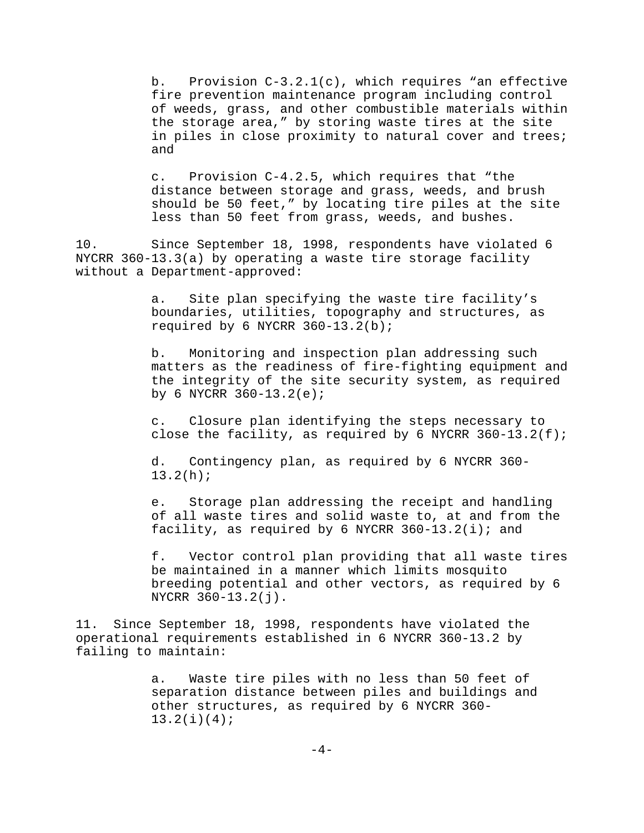b. Provision  $C-3.2.1(c)$ , which requires "an effective fire prevention maintenance program including control of weeds, grass, and other combustible materials within the storage area," by storing waste tires at the site in piles in close proximity to natural cover and trees; and

c. Provision C-4.2.5, which requires that "the distance between storage and grass, weeds, and brush should be 50 feet," by locating tire piles at the site less than 50 feet from grass, weeds, and bushes.

10. Since September 18, 1998, respondents have violated 6 NYCRR 360-13.3(a) by operating a waste tire storage facility without a Department-approved:

> a. Site plan specifying the waste tire facility's boundaries, utilities, topography and structures, as required by 6 NYCRR 360-13.2(b);

b. Monitoring and inspection plan addressing such matters as the readiness of fire-fighting equipment and the integrity of the site security system, as required by 6 NYCRR  $360 - 13.2(e)$ ;

c. Closure plan identifying the steps necessary to close the facility, as required by 6 NYCRR  $360-13.2(f)$ ;

d. Contingency plan, as required by 6 NYCRR 360- 13.2(h);

e. Storage plan addressing the receipt and handling of all waste tires and solid waste to, at and from the facility, as required by 6 NYCRR  $360-13.2(i)$ ; and

f. Vector control plan providing that all waste tires be maintained in a manner which limits mosquito breeding potential and other vectors, as required by 6 NYCRR 360-13.2(j).

11. Since September 18, 1998, respondents have violated the operational requirements established in 6 NYCRR 360-13.2 by failing to maintain:

> a. Waste tire piles with no less than 50 feet of separation distance between piles and buildings and other structures, as required by 6 NYCRR 360- 13.2(i)(4);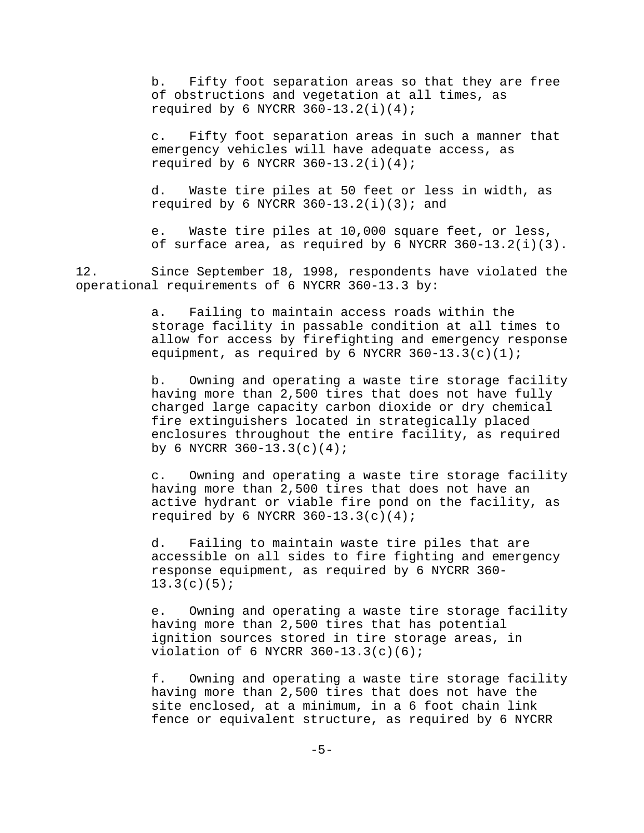b. Fifty foot separation areas so that they are free of obstructions and vegetation at all times, as required by 6 NYCRR  $360-13.2(i)(4)$ ;

c. Fifty foot separation areas in such a manner that emergency vehicles will have adequate access, as required by 6 NYCRR  $360-13.2(i)(4)$ ;

d. Waste tire piles at 50 feet or less in width, as required by 6 NYCRR  $360-13.2(i)(3)$ ; and

e. Waste tire piles at 10,000 square feet, or less, of surface area, as required by 6 NYCRR 360-13.2(i)(3).

12. Since September 18, 1998, respondents have violated the operational requirements of 6 NYCRR 360-13.3 by:

> a. Failing to maintain access roads within the storage facility in passable condition at all times to allow for access by firefighting and emergency response equipment, as required by 6 NYCRR  $360-13.3(c)(1)$ ;

> b. Owning and operating a waste tire storage facility having more than 2,500 tires that does not have fully charged large capacity carbon dioxide or dry chemical fire extinguishers located in strategically placed enclosures throughout the entire facility, as required by 6 NYCRR  $360-13.3(c)(4)$ ;

> c. Owning and operating a waste tire storage facility having more than 2,500 tires that does not have an active hydrant or viable fire pond on the facility, as required by 6 NYCRR  $360-13.3(c)(4)$ ;

d. Failing to maintain waste tire piles that are accessible on all sides to fire fighting and emergency response equipment, as required by 6 NYCRR 360-  $13.3(c)(5);$ 

e. Owning and operating a waste tire storage facility having more than 2,500 tires that has potential ignition sources stored in tire storage areas, in violation of 6 NYCRR  $360 - 13.3(c)(6)$ ;

f. Owning and operating a waste tire storage facility having more than 2,500 tires that does not have the site enclosed, at a minimum, in a 6 foot chain link fence or equivalent structure, as required by 6 NYCRR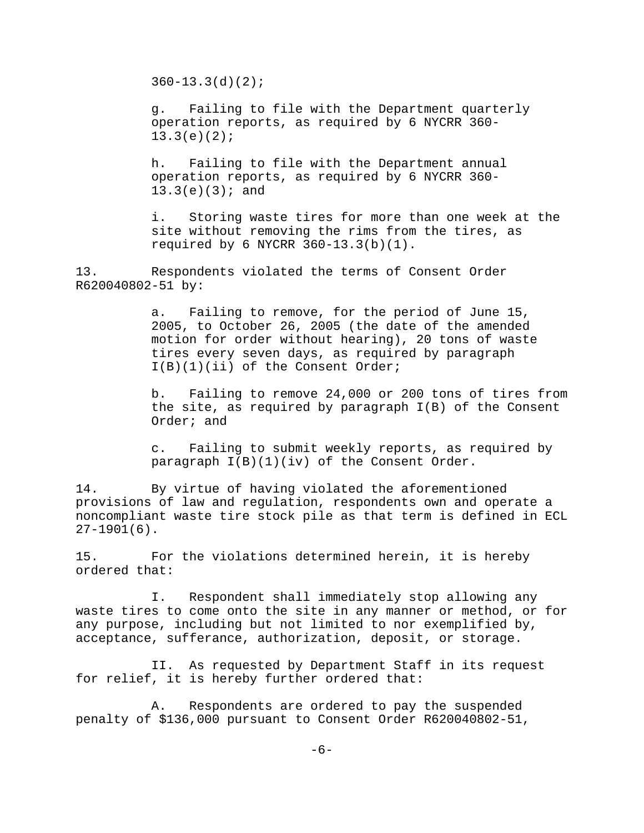$360 - 13.3(d)(2)$ ;

g. Failing to file with the Department quarterly operation reports, as required by 6 NYCRR 360-  $13.3(e)(2);$ 

h. Failing to file with the Department annual operation reports, as required by 6 NYCRR 360-  $13.3(e)(3);$  and

i. Storing waste tires for more than one week at the site without removing the rims from the tires, as required by 6 NYCRR 360-13.3(b)(1).

13. Respondents violated the terms of Consent Order R620040802-51 by:

> a. Failing to remove, for the period of June 15, 2005, to October 26, 2005 (the date of the amended motion for order without hearing), 20 tons of waste tires every seven days, as required by paragraph I(B)(1)(ii) of the Consent Order;

b. Failing to remove 24,000 or 200 tons of tires from the site, as required by paragraph I(B) of the Consent Order; and

c. Failing to submit weekly reports, as required by paragraph  $I(B)(1)(iv)$  of the Consent Order.

14. By virtue of having violated the aforementioned provisions of law and regulation, respondents own and operate a noncompliant waste tire stock pile as that term is defined in ECL 27-1901(6).

15. For the violations determined herein, it is hereby ordered that:

I. Respondent shall immediately stop allowing any waste tires to come onto the site in any manner or method, or for any purpose, including but not limited to nor exemplified by, acceptance, sufferance, authorization, deposit, or storage.

II. As requested by Department Staff in its request for relief, it is hereby further ordered that:

A. Respondents are ordered to pay the suspended penalty of \$136,000 pursuant to Consent Order R620040802-51,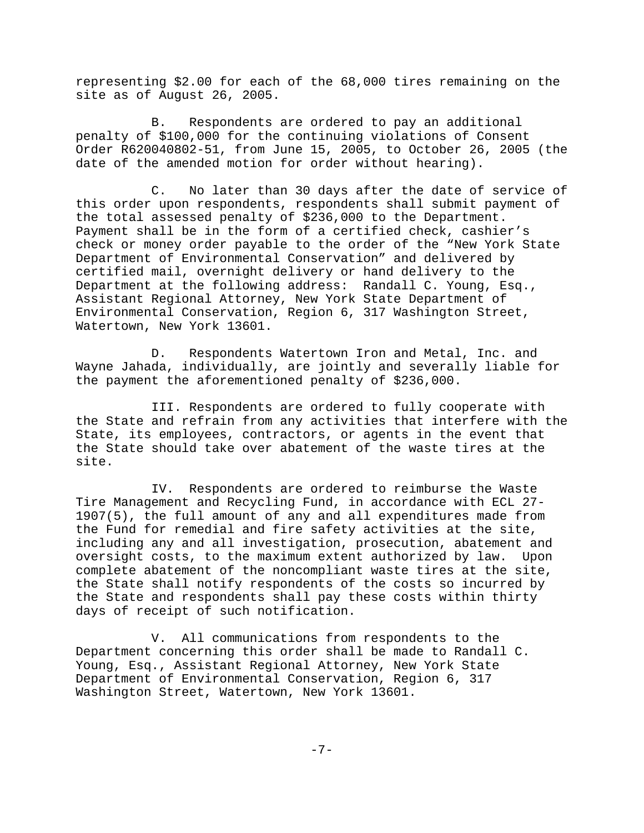representing \$2.00 for each of the 68,000 tires remaining on the site as of August 26, 2005.

B. Respondents are ordered to pay an additional penalty of \$100,000 for the continuing violations of Consent Order R620040802-51, from June 15, 2005, to October 26, 2005 (the date of the amended motion for order without hearing).

C. No later than 30 days after the date of service of this order upon respondents, respondents shall submit payment of the total assessed penalty of \$236,000 to the Department. Payment shall be in the form of a certified check, cashier's check or money order payable to the order of the "New York State Department of Environmental Conservation" and delivered by certified mail, overnight delivery or hand delivery to the Department at the following address: Randall C. Young, Esq., Assistant Regional Attorney, New York State Department of Environmental Conservation, Region 6, 317 Washington Street, Watertown, New York 13601.

D. Respondents Watertown Iron and Metal, Inc. and Wayne Jahada, individually, are jointly and severally liable for the payment the aforementioned penalty of \$236,000.

III. Respondents are ordered to fully cooperate with the State and refrain from any activities that interfere with the State, its employees, contractors, or agents in the event that the State should take over abatement of the waste tires at the site.

IV. Respondents are ordered to reimburse the Waste Tire Management and Recycling Fund, in accordance with ECL 27- 1907(5), the full amount of any and all expenditures made from the Fund for remedial and fire safety activities at the site, including any and all investigation, prosecution, abatement and oversight costs, to the maximum extent authorized by law. Upon complete abatement of the noncompliant waste tires at the site, the State shall notify respondents of the costs so incurred by the State and respondents shall pay these costs within thirty days of receipt of such notification.

V. All communications from respondents to the Department concerning this order shall be made to Randall C. Young, Esq., Assistant Regional Attorney, New York State Department of Environmental Conservation, Region 6, 317 Washington Street, Watertown, New York 13601.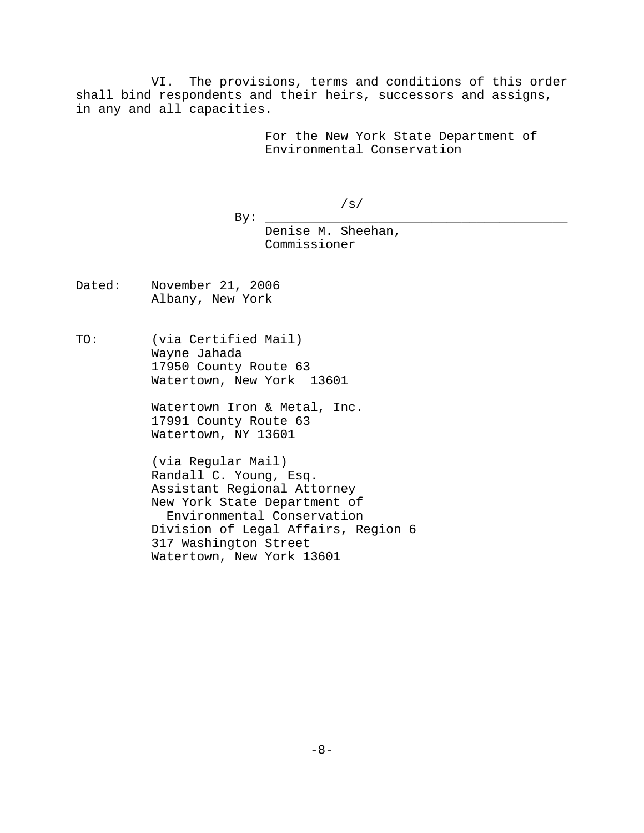VI. The provisions, terms and conditions of this order shall bind respondents and their heirs, successors and assigns, in any and all capacities.

> For the New York State Department of Environmental Conservation

> > /s/

By: \_\_\_\_\_\_\_\_\_\_\_\_\_\_\_\_\_\_\_\_\_\_\_\_\_\_\_\_\_\_\_\_\_\_\_\_\_\_\_\_

Denise M. Sheehan, Commissioner

- Dated: November 21, 2006 Albany, New York
- TO: (via Certified Mail) Wayne Jahada 17950 County Route 63 Watertown, New York 13601

Watertown Iron & Metal, Inc. 17991 County Route 63 Watertown, NY 13601

(via Regular Mail) Randall C. Young, Esq. Assistant Regional Attorney New York State Department of Environmental Conservation Division of Legal Affairs, Region 6 317 Washington Street Watertown, New York 13601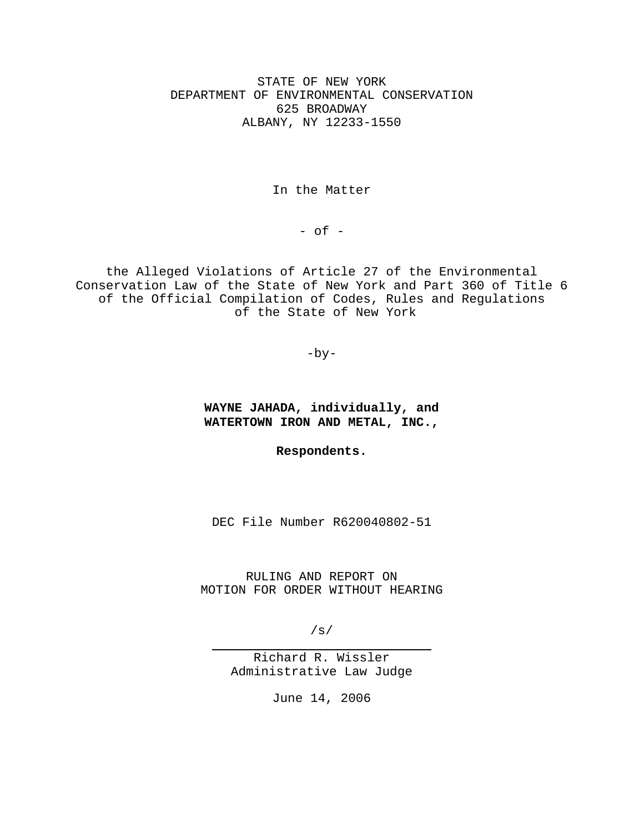STATE OF NEW YORK DEPARTMENT OF ENVIRONMENTAL CONSERVATION 625 BROADWAY ALBANY, NY 12233-1550

In the Matter

 $-$  of  $-$ 

the Alleged Violations of Article 27 of the Environmental Conservation Law of the State of New York and Part 360 of Title 6 of the Official Compilation of Codes, Rules and Regulations of the State of New York

 $-by-$ 

**WAYNE JAHADA, individually, and WATERTOWN IRON AND METAL, INC.,**

**Respondents.**

DEC File Number R620040802-51

RULING AND REPORT ON MOTION FOR ORDER WITHOUT HEARING

/s/

 $\overline{a}$ 

Richard R. Wissler Administrative Law Judge

June 14, 2006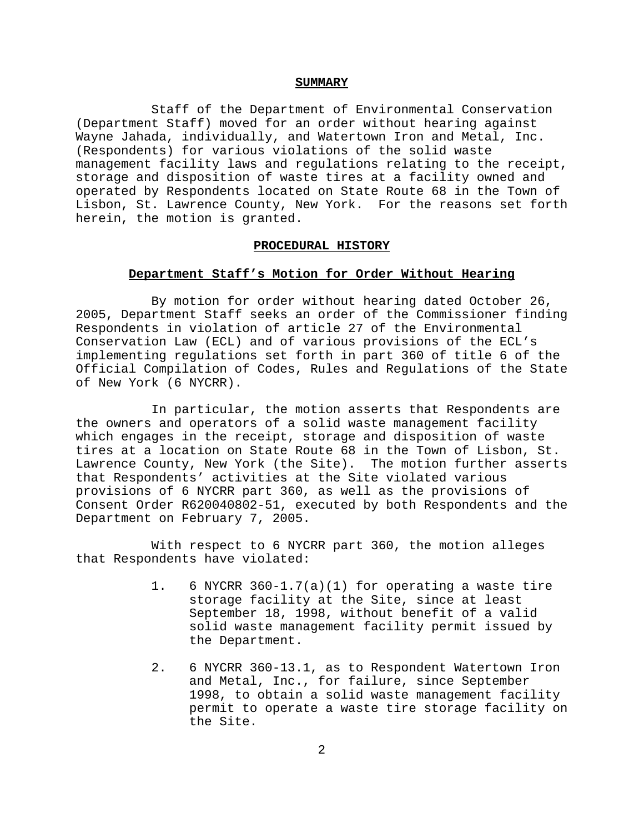#### **SUMMARY**

Staff of the Department of Environmental Conservation (Department Staff) moved for an order without hearing against Wayne Jahada, individually, and Watertown Iron and Metal, Inc. (Respondents) for various violations of the solid waste management facility laws and regulations relating to the receipt, storage and disposition of waste tires at a facility owned and operated by Respondents located on State Route 68 in the Town of Lisbon, St. Lawrence County, New York. For the reasons set forth herein, the motion is granted.

#### **PROCEDURAL HISTORY**

### **Department Staff's Motion for Order Without Hearing**

By motion for order without hearing dated October 26, 2005, Department Staff seeks an order of the Commissioner finding Respondents in violation of article 27 of the Environmental Conservation Law (ECL) and of various provisions of the ECL's implementing regulations set forth in part 360 of title 6 of the Official Compilation of Codes, Rules and Regulations of the State of New York (6 NYCRR).

In particular, the motion asserts that Respondents are the owners and operators of a solid waste management facility which engages in the receipt, storage and disposition of waste tires at a location on State Route 68 in the Town of Lisbon, St. Lawrence County, New York (the Site). The motion further asserts that Respondents' activities at the Site violated various provisions of 6 NYCRR part 360, as well as the provisions of Consent Order R620040802-51, executed by both Respondents and the Department on February 7, 2005.

With respect to 6 NYCRR part 360, the motion alleges that Respondents have violated:

- 1. 6 NYCRR 360-1.7(a)(1) for operating a waste tire storage facility at the Site, since at least September 18, 1998, without benefit of a valid solid waste management facility permit issued by the Department.
- 2. 6 NYCRR 360-13.1, as to Respondent Watertown Iron and Metal, Inc., for failure, since September 1998, to obtain a solid waste management facility permit to operate a waste tire storage facility on the Site.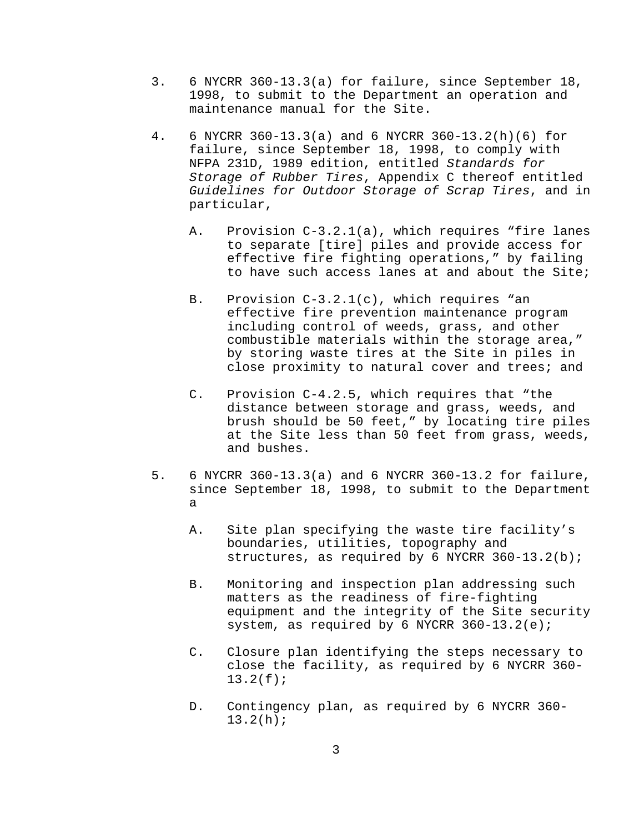- 3. 6 NYCRR 360-13.3(a) for failure, since September 18, 1998, to submit to the Department an operation and maintenance manual for the Site.
- 4. 6 NYCRR 360-13.3(a) and 6 NYCRR 360-13.2(h)(6) for failure, since September 18, 1998, to comply with NFPA 231D, 1989 edition, entitled *Standards for Storage of Rubber Tires*, Appendix C thereof entitled *Guidelines for Outdoor Storage of Scrap Tires*, and in particular,
	- A. Provision C-3.2.1(a), which requires "fire lanes to separate [tire] piles and provide access for effective fire fighting operations," by failing to have such access lanes at and about the Site;
	- B. Provision C-3.2.1(c), which requires "an effective fire prevention maintenance program including control of weeds, grass, and other combustible materials within the storage area," by storing waste tires at the Site in piles in close proximity to natural cover and trees; and
	- C. Provision C-4.2.5, which requires that "the distance between storage and grass, weeds, and brush should be 50 feet," by locating tire piles at the Site less than 50 feet from grass, weeds, and bushes.
- 5. 6 NYCRR 360-13.3(a) and 6 NYCRR 360-13.2 for failure, since September 18, 1998, to submit to the Department a
	- A. Site plan specifying the waste tire facility's boundaries, utilities, topography and structures, as required by 6 NYCRR 360-13.2(b);
	- B. Monitoring and inspection plan addressing such matters as the readiness of fire-fighting equipment and the integrity of the Site security system, as required by 6 NYCRR 360-13.2(e);
	- C. Closure plan identifying the steps necessary to close the facility, as required by 6 NYCRR 360- 13.2(f);
	- D. Contingency plan, as required by 6 NYCRR 360- 13.2(h);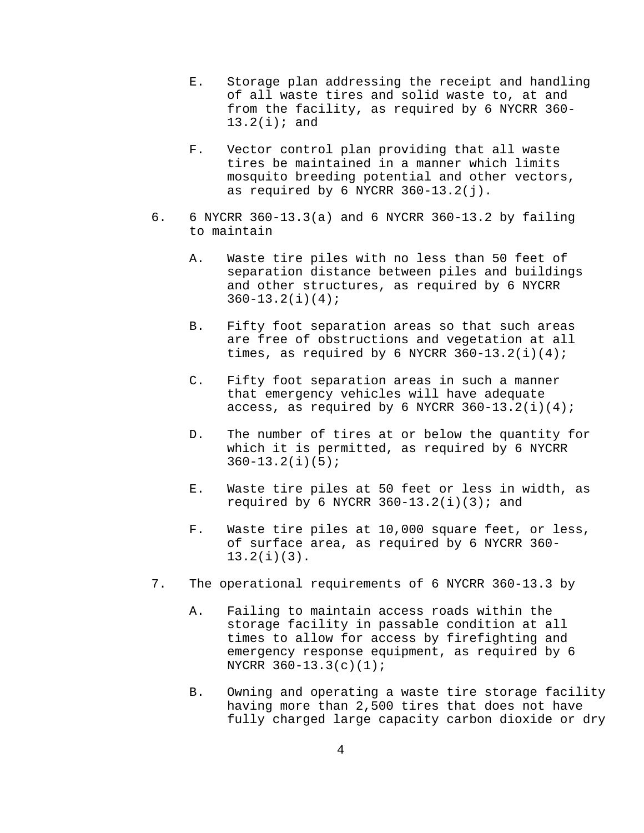- E. Storage plan addressing the receipt and handling of all waste tires and solid waste to, at and from the facility, as required by 6 NYCRR 360- 13.2(i); and
- F. Vector control plan providing that all waste tires be maintained in a manner which limits mosquito breeding potential and other vectors, as required by 6 NYCRR  $360-13.2(j)$ .
- 6. 6 NYCRR 360-13.3(a) and 6 NYCRR 360-13.2 by failing to maintain
	- A. Waste tire piles with no less than 50 feet of separation distance between piles and buildings and other structures, as required by 6 NYCRR 360-13.2(i)(4);
	- B. Fifty foot separation areas so that such areas are free of obstructions and vegetation at all times, as required by 6 NYCRR  $360-13.2(i)(4)$ ;
	- C. Fifty foot separation areas in such a manner that emergency vehicles will have adequate access, as required by 6 NYCRR  $360-13.2(i)(4)$ ;
	- D. The number of tires at or below the quantity for which it is permitted, as required by 6 NYCRR  $360 - 13.2(i)(5);$
	- E. Waste tire piles at 50 feet or less in width, as required by 6 NYCRR  $360-13.2(i)(3)$ ; and
	- F. Waste tire piles at 10,000 square feet, or less, of surface area, as required by 6 NYCRR 360- 13.2(i)(3).
- 7. The operational requirements of 6 NYCRR 360-13.3 by
	- A. Failing to maintain access roads within the storage facility in passable condition at all times to allow for access by firefighting and emergency response equipment, as required by 6 NYCRR 360-13.3(c)(1);
	- B. Owning and operating a waste tire storage facility having more than 2,500 tires that does not have fully charged large capacity carbon dioxide or dry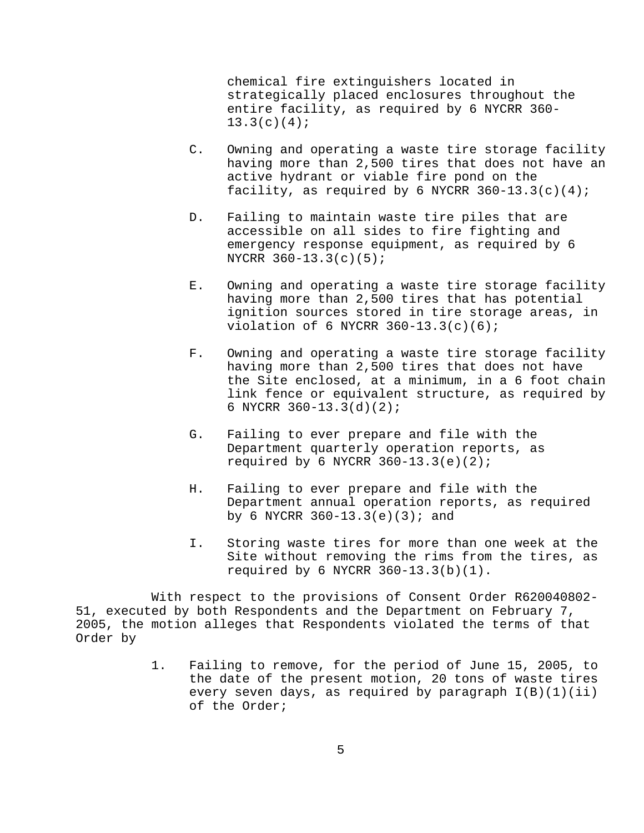chemical fire extinguishers located in strategically placed enclosures throughout the entire facility, as required by 6 NYCRR 360-  $13.3(c)(4);$ 

- C. Owning and operating a waste tire storage facility having more than 2,500 tires that does not have an active hydrant or viable fire pond on the facility, as required by 6 NYCRR  $360-13.3(c)(4)$ ;
- D. Failing to maintain waste tire piles that are accessible on all sides to fire fighting and emergency response equipment, as required by 6 NYCRR 360-13.3(c)(5);
- E. Owning and operating a waste tire storage facility having more than 2,500 tires that has potential ignition sources stored in tire storage areas, in violation of 6 NYCRR 360-13.3(c)(6);
- F. Owning and operating a waste tire storage facility having more than 2,500 tires that does not have the Site enclosed, at a minimum, in a 6 foot chain link fence or equivalent structure, as required by 6 NYCRR 360-13.3(d)(2);
- G. Failing to ever prepare and file with the Department quarterly operation reports, as required by 6 NYCRR  $360-13.3(e)(2)$ ;
- H. Failing to ever prepare and file with the Department annual operation reports, as required by 6 NYCRR  $360-13.3(e)(3)$ ; and
- I. Storing waste tires for more than one week at the Site without removing the rims from the tires, as required by 6 NYCRR 360-13.3(b)(1).

With respect to the provisions of Consent Order R620040802- 51, executed by both Respondents and the Department on February 7, 2005, the motion alleges that Respondents violated the terms of that Order by

> 1. Failing to remove, for the period of June 15, 2005, to the date of the present motion, 20 tons of waste tires every seven days, as required by paragraph  $I(B)(1)(ii)$ of the Order;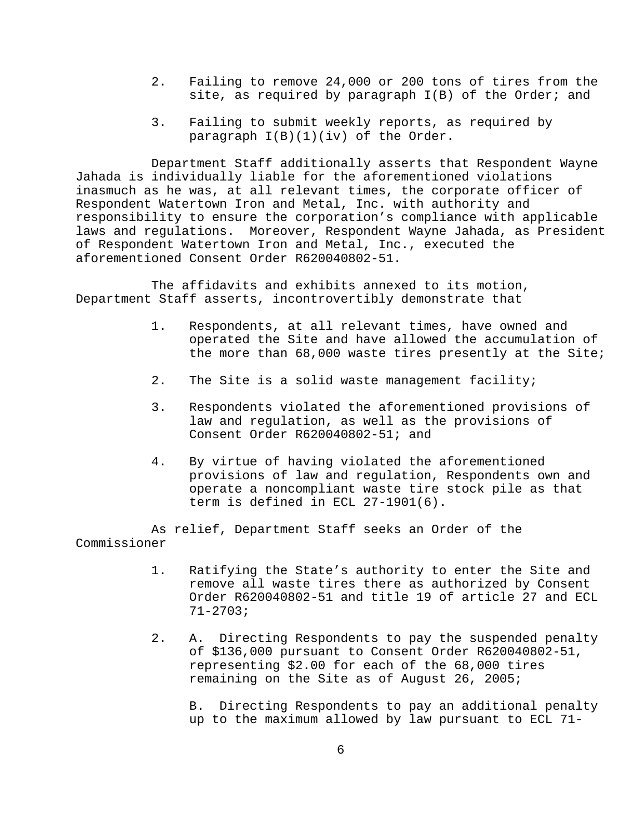- 2. Failing to remove 24,000 or 200 tons of tires from the site, as required by paragraph I(B) of the Order; and
- 3. Failing to submit weekly reports, as required by paragraph I(B)(1)(iv) of the Order.

Department Staff additionally asserts that Respondent Wayne Jahada is individually liable for the aforementioned violations inasmuch as he was, at all relevant times, the corporate officer of Respondent Watertown Iron and Metal, Inc. with authority and responsibility to ensure the corporation's compliance with applicable laws and regulations. Moreover, Respondent Wayne Jahada, as President of Respondent Watertown Iron and Metal, Inc., executed the aforementioned Consent Order R620040802-51.

The affidavits and exhibits annexed to its motion, Department Staff asserts, incontrovertibly demonstrate that

- 1. Respondents, at all relevant times, have owned and operated the Site and have allowed the accumulation of the more than 68,000 waste tires presently at the Site;
- 2. The Site is a solid waste management facility;
- 3. Respondents violated the aforementioned provisions of law and regulation, as well as the provisions of Consent Order R620040802-51; and
- 4. By virtue of having violated the aforementioned provisions of law and regulation, Respondents own and operate a noncompliant waste tire stock pile as that term is defined in ECL 27-1901(6).

As relief, Department Staff seeks an Order of the Commissioner

- 1. Ratifying the State's authority to enter the Site and remove all waste tires there as authorized by Consent Order R620040802-51 and title 19 of article 27 and ECL 71-2703;
- 2. A. Directing Respondents to pay the suspended penalty of \$136,000 pursuant to Consent Order R620040802-51, representing \$2.00 for each of the 68,000 tires remaining on the Site as of August 26, 2005;

B. Directing Respondents to pay an additional penalty up to the maximum allowed by law pursuant to ECL 71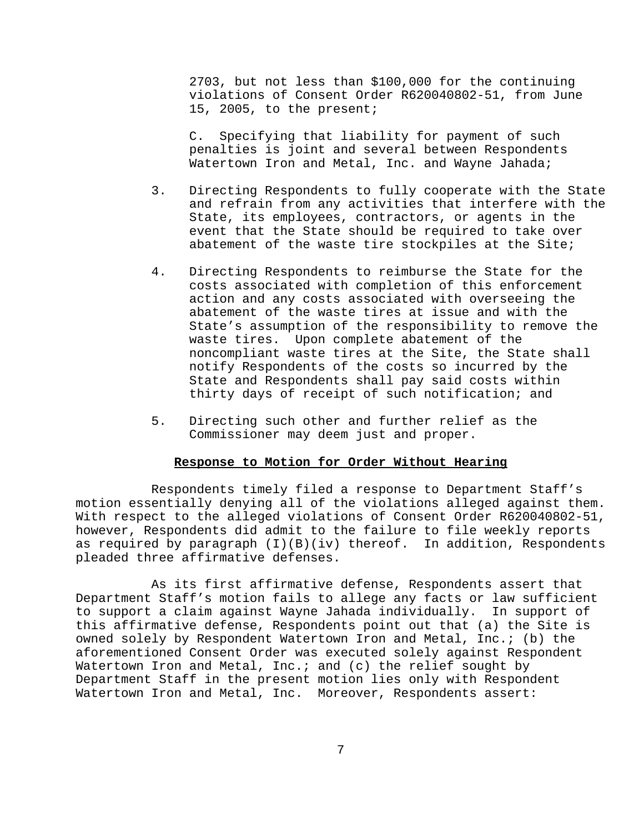2703, but not less than \$100,000 for the continuing violations of Consent Order R620040802-51, from June 15, 2005, to the present;

C. Specifying that liability for payment of such penalties is joint and several between Respondents Watertown Iron and Metal, Inc. and Wayne Jahada;

- 3. Directing Respondents to fully cooperate with the State and refrain from any activities that interfere with the State, its employees, contractors, or agents in the event that the State should be required to take over abatement of the waste tire stockpiles at the Site;
- 4. Directing Respondents to reimburse the State for the costs associated with completion of this enforcement action and any costs associated with overseeing the abatement of the waste tires at issue and with the State's assumption of the responsibility to remove the waste tires. Upon complete abatement of the noncompliant waste tires at the Site, the State shall notify Respondents of the costs so incurred by the State and Respondents shall pay said costs within thirty days of receipt of such notification; and
- 5. Directing such other and further relief as the Commissioner may deem just and proper.

# **Response to Motion for Order Without Hearing**

Respondents timely filed a response to Department Staff's motion essentially denying all of the violations alleged against them. With respect to the alleged violations of Consent Order R620040802-51, however, Respondents did admit to the failure to file weekly reports as required by paragraph  $(I)(B)(iv)$  thereof. In addition, Respondents pleaded three affirmative defenses.

As its first affirmative defense, Respondents assert that Department Staff's motion fails to allege any facts or law sufficient to support a claim against Wayne Jahada individually. In support of this affirmative defense, Respondents point out that (a) the Site is owned solely by Respondent Watertown Iron and Metal, Inc.; (b) the aforementioned Consent Order was executed solely against Respondent Watertown Iron and Metal, Inc.; and (c) the relief sought by Department Staff in the present motion lies only with Respondent Watertown Iron and Metal, Inc. Moreover, Respondents assert: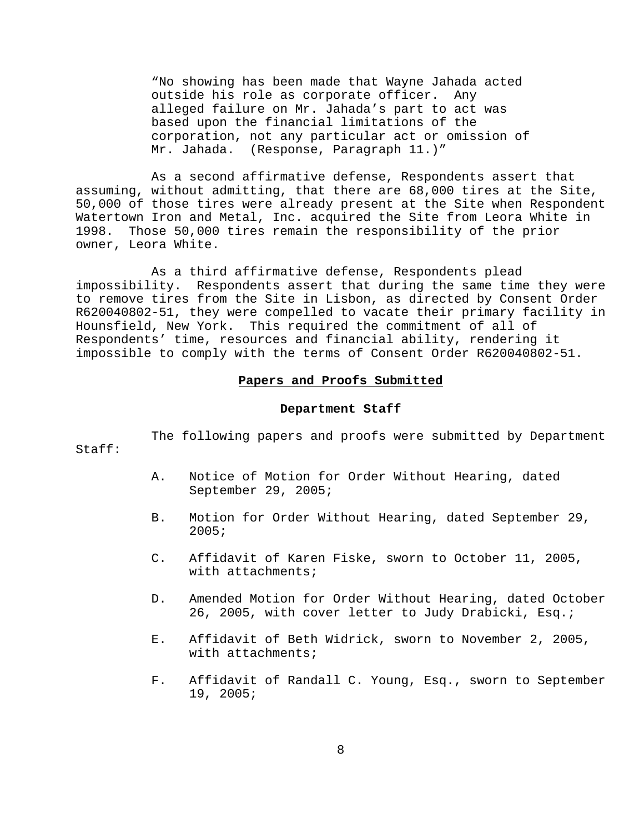"No showing has been made that Wayne Jahada acted outside his role as corporate officer. Any alleged failure on Mr. Jahada's part to act was based upon the financial limitations of the corporation, not any particular act or omission of Mr. Jahada. (Response, Paragraph 11.)"

As a second affirmative defense, Respondents assert that assuming, without admitting, that there are 68,000 tires at the Site, 50,000 of those tires were already present at the Site when Respondent Watertown Iron and Metal, Inc. acquired the Site from Leora White in 1998. Those 50,000 tires remain the responsibility of the prior owner, Leora White.

As a third affirmative defense, Respondents plead impossibility. Respondents assert that during the same time they were to remove tires from the Site in Lisbon, as directed by Consent Order R620040802-51, they were compelled to vacate their primary facility in Hounsfield, New York. This required the commitment of all of Respondents' time, resources and financial ability, rendering it impossible to comply with the terms of Consent Order R620040802-51.

### **Papers and Proofs Submitted**

### **Department Staff**

#### Staff:

The following papers and proofs were submitted by Department

- A. Notice of Motion for Order Without Hearing, dated September 29, 2005;
- B. Motion for Order Without Hearing, dated September 29, 2005;
- C. Affidavit of Karen Fiske, sworn to October 11, 2005, with attachments;
- D. Amended Motion for Order Without Hearing, dated October 26, 2005, with cover letter to Judy Drabicki, Esq.;
- E. Affidavit of Beth Widrick, sworn to November 2, 2005, with attachments;
- F. Affidavit of Randall C. Young, Esq., sworn to September 19, 2005;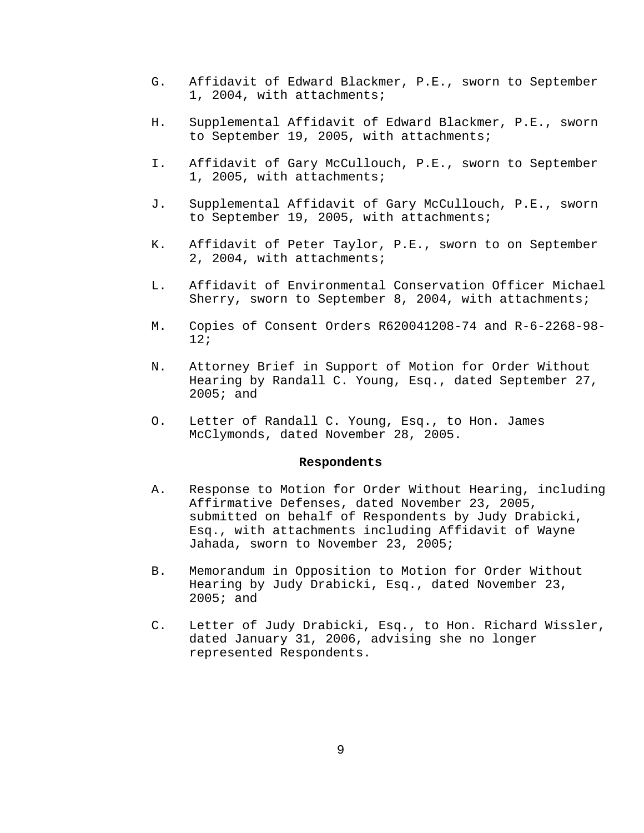- G. Affidavit of Edward Blackmer, P.E., sworn to September 1, 2004, with attachments;
- H. Supplemental Affidavit of Edward Blackmer, P.E., sworn to September 19, 2005, with attachments;
- I. Affidavit of Gary McCullouch, P.E., sworn to September 1, 2005, with attachments;
- J. Supplemental Affidavit of Gary McCullouch, P.E., sworn to September 19, 2005, with attachments;
- K. Affidavit of Peter Taylor, P.E., sworn to on September 2, 2004, with attachments;
- L. Affidavit of Environmental Conservation Officer Michael Sherry, sworn to September 8, 2004, with attachments;
- M. Copies of Consent Orders R620041208-74 and R-6-2268-98- 12;
- N. Attorney Brief in Support of Motion for Order Without Hearing by Randall C. Young, Esq., dated September 27, 2005; and
- O. Letter of Randall C. Young, Esq., to Hon. James McClymonds, dated November 28, 2005.

## **Respondents**

- A. Response to Motion for Order Without Hearing, including Affirmative Defenses, dated November 23, 2005, submitted on behalf of Respondents by Judy Drabicki, Esq., with attachments including Affidavit of Wayne Jahada, sworn to November 23, 2005;
- B. Memorandum in Opposition to Motion for Order Without Hearing by Judy Drabicki, Esq., dated November 23, 2005; and
- C. Letter of Judy Drabicki, Esq., to Hon. Richard Wissler, dated January 31, 2006, advising she no longer represented Respondents.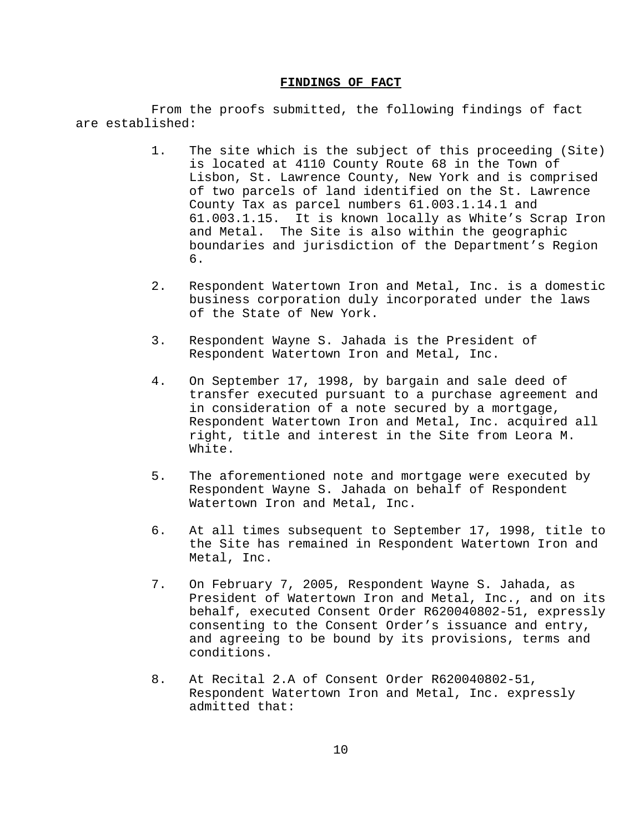### **FINDINGS OF FACT**

From the proofs submitted, the following findings of fact are established:

- 1. The site which is the subject of this proceeding (Site) is located at 4110 County Route 68 in the Town of Lisbon, St. Lawrence County, New York and is comprised of two parcels of land identified on the St. Lawrence County Tax as parcel numbers 61.003.1.14.1 and 61.003.1.15. It is known locally as White's Scrap Iron and Metal. The Site is also within the geographic boundaries and jurisdiction of the Department's Region 6.
- 2. Respondent Watertown Iron and Metal, Inc. is a domestic business corporation duly incorporated under the laws of the State of New York.
- 3. Respondent Wayne S. Jahada is the President of Respondent Watertown Iron and Metal, Inc.
- 4. On September 17, 1998, by bargain and sale deed of transfer executed pursuant to a purchase agreement and in consideration of a note secured by a mortgage, Respondent Watertown Iron and Metal, Inc. acquired all right, title and interest in the Site from Leora M. White.
- 5. The aforementioned note and mortgage were executed by Respondent Wayne S. Jahada on behalf of Respondent Watertown Iron and Metal, Inc.
- 6. At all times subsequent to September 17, 1998, title to the Site has remained in Respondent Watertown Iron and Metal, Inc.
- 7. On February 7, 2005, Respondent Wayne S. Jahada, as President of Watertown Iron and Metal, Inc., and on its behalf, executed Consent Order R620040802-51, expressly consenting to the Consent Order's issuance and entry, and agreeing to be bound by its provisions, terms and conditions.
- 8. At Recital 2.A of Consent Order R620040802-51, Respondent Watertown Iron and Metal, Inc. expressly admitted that: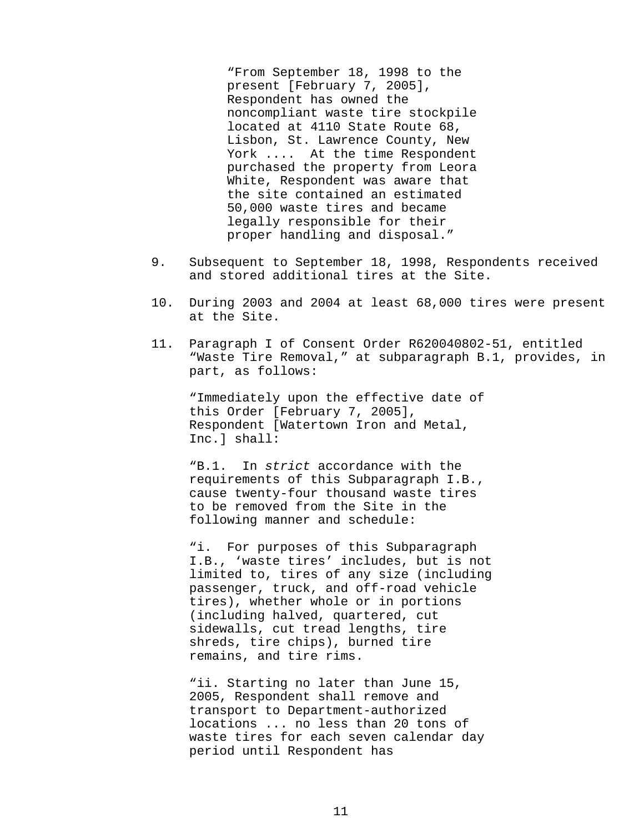"From September 18, 1998 to the present [February 7, 2005], Respondent has owned the noncompliant waste tire stockpile located at 4110 State Route 68, Lisbon, St. Lawrence County, New York .... At the time Respondent purchased the property from Leora White, Respondent was aware that the site contained an estimated 50,000 waste tires and became legally responsible for their proper handling and disposal."

- 9. Subsequent to September 18, 1998, Respondents received and stored additional tires at the Site.
- 10. During 2003 and 2004 at least 68,000 tires were present at the Site.
- 11. Paragraph I of Consent Order R620040802-51, entitled "Waste Tire Removal," at subparagraph B.1, provides, in part, as follows:

"Immediately upon the effective date of this Order [February 7, 2005], Respondent [Watertown Iron and Metal, Inc.] shall:

"B.1. In *strict* accordance with the requirements of this Subparagraph I.B., cause twenty-four thousand waste tires to be removed from the Site in the following manner and schedule:

"i. For purposes of this Subparagraph I.B., 'waste tires' includes, but is not limited to, tires of any size (including passenger, truck, and off-road vehicle tires), whether whole or in portions (including halved, quartered, cut sidewalls, cut tread lengths, tire shreds, tire chips), burned tire remains, and tire rims.

"ii. Starting no later than June 15, 2005, Respondent shall remove and transport to Department-authorized locations ... no less than 20 tons of waste tires for each seven calendar day period until Respondent has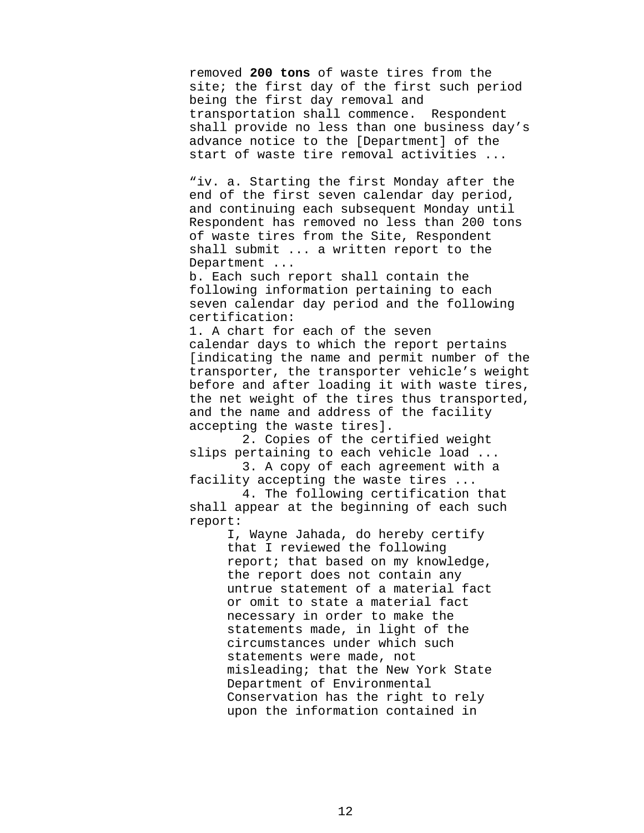removed **200 tons** of waste tires from the site; the first day of the first such period being the first day removal and transportation shall commence. Respondent shall provide no less than one business day's advance notice to the [Department] of the start of waste tire removal activities ...

"iv. a. Starting the first Monday after the end of the first seven calendar day period, and continuing each subsequent Monday until Respondent has removed no less than 200 tons of waste tires from the Site, Respondent shall submit ... a written report to the Department ...

b. Each such report shall contain the following information pertaining to each seven calendar day period and the following certification:

1. A chart for each of the seven calendar days to which the report pertains [indicating the name and permit number of the transporter, the transporter vehicle's weight before and after loading it with waste tires, the net weight of the tires thus transported, and the name and address of the facility accepting the waste tires].

 2. Copies of the certified weight slips pertaining to each vehicle load ...

 3. A copy of each agreement with a facility accepting the waste tires ...

 4. The following certification that shall appear at the beginning of each such report:

> I, Wayne Jahada, do hereby certify that I reviewed the following report; that based on my knowledge, the report does not contain any untrue statement of a material fact or omit to state a material fact necessary in order to make the statements made, in light of the circumstances under which such statements were made, not misleading; that the New York State Department of Environmental Conservation has the right to rely upon the information contained in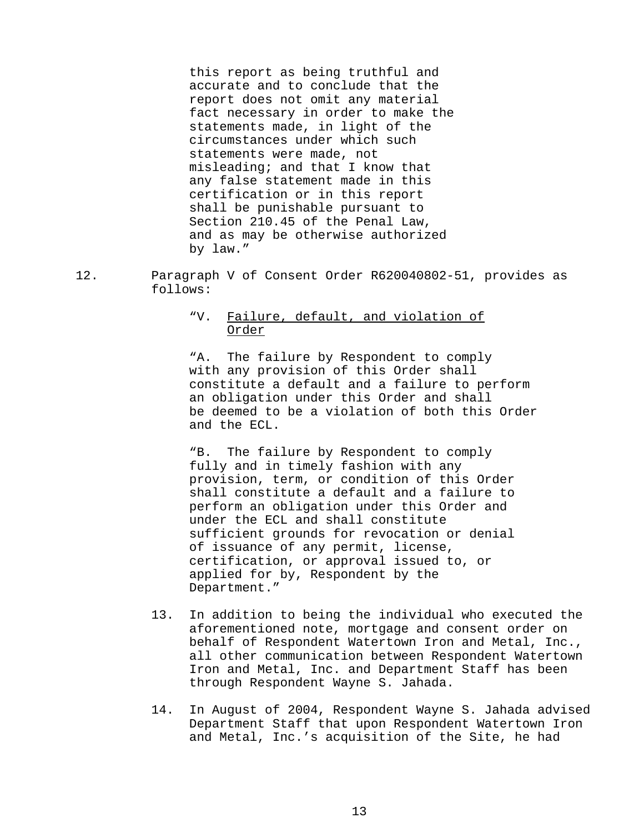this report as being truthful and accurate and to conclude that the report does not omit any material fact necessary in order to make the statements made, in light of the circumstances under which such statements were made, not misleading; and that I know that any false statement made in this certification or in this report shall be punishable pursuant to Section 210.45 of the Penal Law, and as may be otherwise authorized by law."

12. Paragraph V of Consent Order R620040802-51, provides as follows:

## "V. Failure, default, and violation of Order

"A. The failure by Respondent to comply with any provision of this Order shall constitute a default and a failure to perform an obligation under this Order and shall be deemed to be a violation of both this Order and the ECL.

"B. The failure by Respondent to comply fully and in timely fashion with any provision, term, or condition of this Order shall constitute a default and a failure to perform an obligation under this Order and under the ECL and shall constitute sufficient grounds for revocation or denial of issuance of any permit, license, certification, or approval issued to, or applied for by, Respondent by the Department."

- 13. In addition to being the individual who executed the aforementioned note, mortgage and consent order on behalf of Respondent Watertown Iron and Metal, Inc., all other communication between Respondent Watertown Iron and Metal, Inc. and Department Staff has been through Respondent Wayne S. Jahada.
- 14. In August of 2004, Respondent Wayne S. Jahada advised Department Staff that upon Respondent Watertown Iron and Metal, Inc.'s acquisition of the Site, he had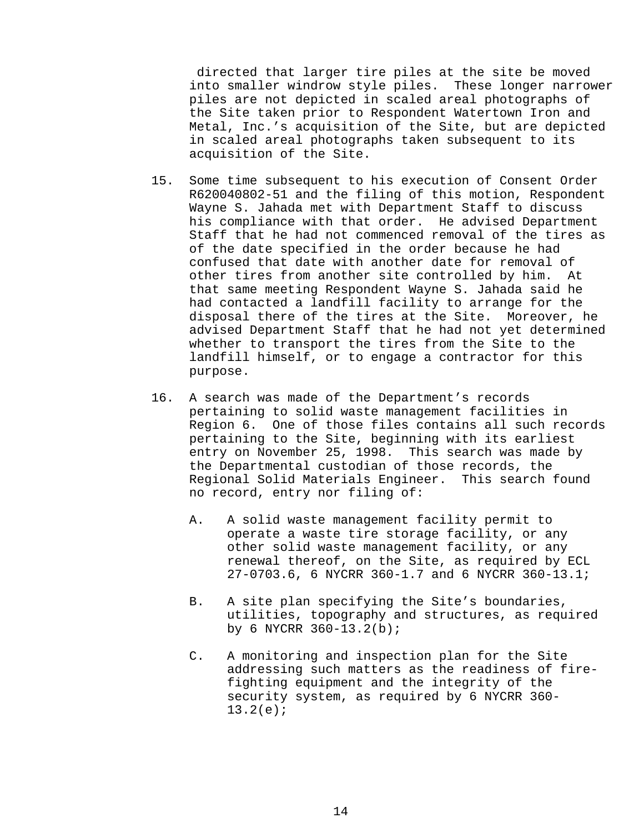directed that larger tire piles at the site be moved into smaller windrow style piles. These longer narrower piles are not depicted in scaled areal photographs of the Site taken prior to Respondent Watertown Iron and Metal, Inc.'s acquisition of the Site, but are depicted in scaled areal photographs taken subsequent to its acquisition of the Site.

- 15. Some time subsequent to his execution of Consent Order R620040802-51 and the filing of this motion, Respondent Wayne S. Jahada met with Department Staff to discuss his compliance with that order. He advised Department Staff that he had not commenced removal of the tires as of the date specified in the order because he had confused that date with another date for removal of other tires from another site controlled by him. At that same meeting Respondent Wayne S. Jahada said he had contacted a landfill facility to arrange for the disposal there of the tires at the Site. Moreover, he advised Department Staff that he had not yet determined whether to transport the tires from the Site to the landfill himself, or to engage a contractor for this purpose.
- 16. A search was made of the Department's records pertaining to solid waste management facilities in Region 6. One of those files contains all such records pertaining to the Site, beginning with its earliest entry on November 25, 1998. This search was made by the Departmental custodian of those records, the Regional Solid Materials Engineer. This search found no record, entry nor filing of:
	- A. A solid waste management facility permit to operate a waste tire storage facility, or any other solid waste management facility, or any renewal thereof, on the Site, as required by ECL 27-0703.6, 6 NYCRR 360-1.7 and 6 NYCRR 360-13.1;
	- B. A site plan specifying the Site's boundaries, utilities, topography and structures, as required by 6 NYCRR 360-13.2(b);
	- C. A monitoring and inspection plan for the Site addressing such matters as the readiness of firefighting equipment and the integrity of the security system, as required by 6 NYCRR 360- 13.2(e);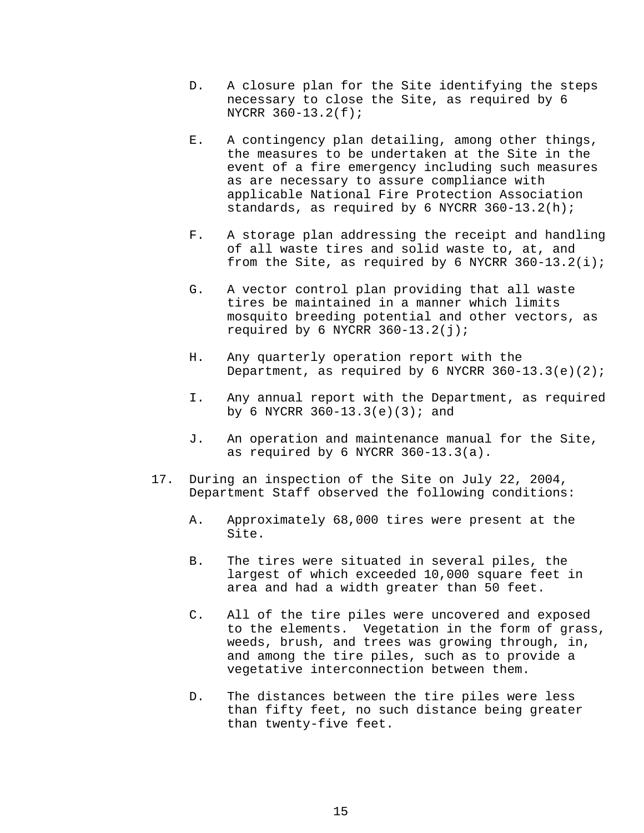- D. A closure plan for the Site identifying the steps necessary to close the Site, as required by 6 NYCRR 360-13.2(f);
- E. A contingency plan detailing, among other things, the measures to be undertaken at the Site in the event of a fire emergency including such measures as are necessary to assure compliance with applicable National Fire Protection Association standards, as required by 6 NYCRR 360-13.2(h);
- F. A storage plan addressing the receipt and handling of all waste tires and solid waste to, at, and from the Site, as required by 6 NYCRR  $360-13.2(i)$ ;
- G. A vector control plan providing that all waste tires be maintained in a manner which limits mosquito breeding potential and other vectors, as required by 6 NYCRR  $360-13.2(j)$ ;
- H. Any quarterly operation report with the Department, as required by 6 NYCRR  $360-13.3(e)(2)$ ;
- I. Any annual report with the Department, as required by 6 NYCRR  $360-13.3(e)(3)$ ; and
- J. An operation and maintenance manual for the Site, as required by 6 NYCRR 360-13.3(a).
- 17. During an inspection of the Site on July 22, 2004, Department Staff observed the following conditions:
	- A. Approximately 68,000 tires were present at the Site.
	- B. The tires were situated in several piles, the largest of which exceeded 10,000 square feet in area and had a width greater than 50 feet.
	- C. All of the tire piles were uncovered and exposed to the elements. Vegetation in the form of grass, weeds, brush, and trees was growing through, in, and among the tire piles, such as to provide a vegetative interconnection between them.
	- D. The distances between the tire piles were less than fifty feet, no such distance being greater than twenty-five feet.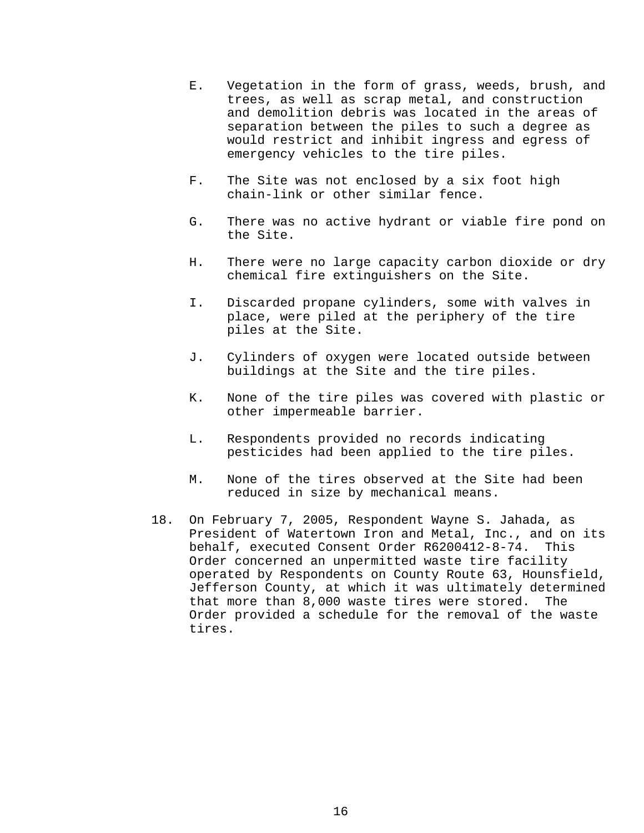- E. Vegetation in the form of grass, weeds, brush, and trees, as well as scrap metal, and construction and demolition debris was located in the areas of separation between the piles to such a degree as would restrict and inhibit ingress and egress of emergency vehicles to the tire piles.
- F. The Site was not enclosed by a six foot high chain-link or other similar fence.
- G. There was no active hydrant or viable fire pond on the Site.
- H. There were no large capacity carbon dioxide or dry chemical fire extinguishers on the Site.
- I. Discarded propane cylinders, some with valves in place, were piled at the periphery of the tire piles at the Site.
- J. Cylinders of oxygen were located outside between buildings at the Site and the tire piles.
- K. None of the tire piles was covered with plastic or other impermeable barrier.
- L. Respondents provided no records indicating pesticides had been applied to the tire piles.
- M. None of the tires observed at the Site had been reduced in size by mechanical means.
- 18. On February 7, 2005, Respondent Wayne S. Jahada, as President of Watertown Iron and Metal, Inc., and on its behalf, executed Consent Order R6200412-8-74. This Order concerned an unpermitted waste tire facility operated by Respondents on County Route 63, Hounsfield, Jefferson County, at which it was ultimately determined that more than 8,000 waste tires were stored. The Order provided a schedule for the removal of the waste tires.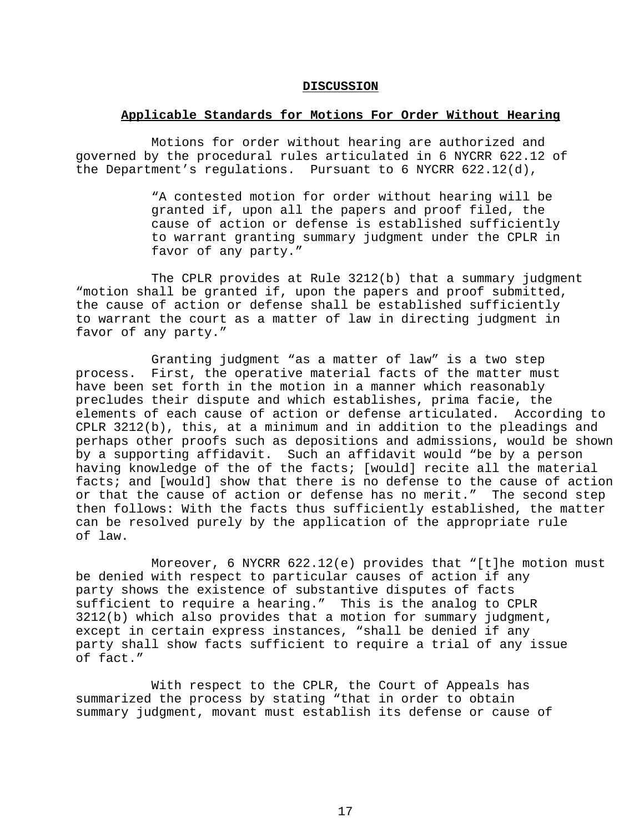#### **DISCUSSION**

## **Applicable Standards for Motions For Order Without Hearing**

Motions for order without hearing are authorized and governed by the procedural rules articulated in 6 NYCRR 622.12 of the Department's regulations. Pursuant to 6 NYCRR 622.12(d),

> "A contested motion for order without hearing will be granted if, upon all the papers and proof filed, the cause of action or defense is established sufficiently to warrant granting summary judgment under the CPLR in favor of any party."

The CPLR provides at Rule 3212(b) that a summary judgment "motion shall be granted if, upon the papers and proof submitted, the cause of action or defense shall be established sufficiently to warrant the court as a matter of law in directing judgment in favor of any party."

Granting judgment "as a matter of law" is a two step process. First, the operative material facts of the matter must have been set forth in the motion in a manner which reasonably precludes their dispute and which establishes, prima facie, the elements of each cause of action or defense articulated. According to CPLR 3212(b), this, at a minimum and in addition to the pleadings and perhaps other proofs such as depositions and admissions, would be shown by a supporting affidavit. Such an affidavit would "be by a person having knowledge of the of the facts; [would] recite all the material facts; and [would] show that there is no defense to the cause of action or that the cause of action or defense has no merit." The second step then follows: With the facts thus sufficiently established, the matter can be resolved purely by the application of the appropriate rule of law.

Moreover, 6 NYCRR  $622.12(e)$  provides that "[t]he motion must be denied with respect to particular causes of action if any party shows the existence of substantive disputes of facts sufficient to require a hearing." This is the analog to CPLR 3212(b) which also provides that a motion for summary judgment, except in certain express instances, "shall be denied if any party shall show facts sufficient to require a trial of any issue of fact."

With respect to the CPLR, the Court of Appeals has summarized the process by stating "that in order to obtain summary judgment, movant must establish its defense or cause of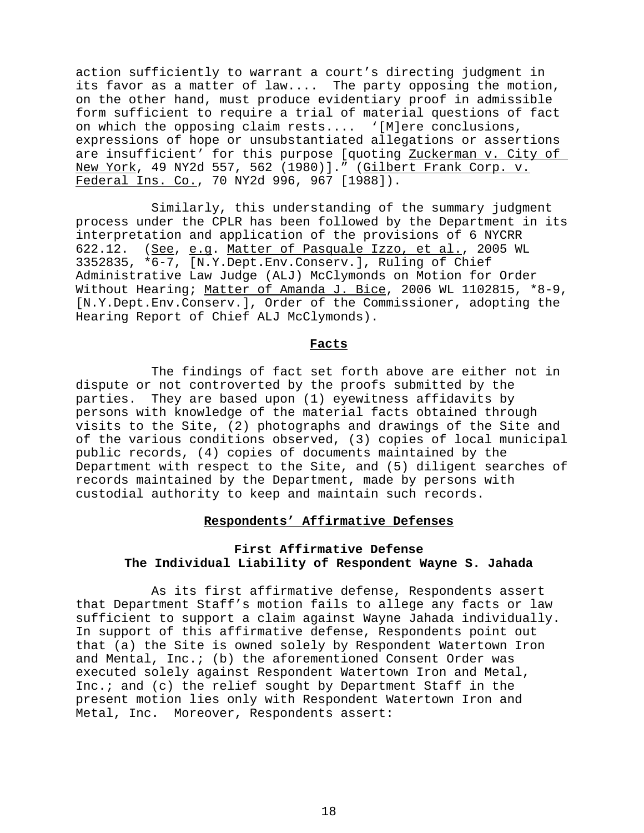action sufficiently to warrant a court's directing judgment in its favor as a matter of law.... The party opposing the motion, on the other hand, must produce evidentiary proof in admissible form sufficient to require a trial of material questions of fact on which the opposing claim rests.... '[M]ere conclusions, expressions of hope or unsubstantiated allegations or assertions are insufficient' for this purpose [quoting Zuckerman v. City of New York, 49 NY2d 557, 562 (1980)]." (Gilbert Frank Corp. v. Federal Ins. Co., 70 NY2d 996, 967 [1988]).

Similarly, this understanding of the summary judgment process under the CPLR has been followed by the Department in its interpretation and application of the provisions of 6 NYCRR 622.12. (See, e.g. Matter of Pasquale Izzo, et al., 2005 WL 3352835, \*6-7, [N.Y.Dept.Env.Conserv.], Ruling of Chief Administrative Law Judge (ALJ) McClymonds on Motion for Order Without Hearing; Matter of Amanda J. Bice, 2006 WL 1102815, \*8-9, [N.Y.Dept.Env.Conserv.], Order of the Commissioner, adopting the Hearing Report of Chief ALJ McClymonds).

### **Facts**

The findings of fact set forth above are either not in dispute or not controverted by the proofs submitted by the parties. They are based upon (1) eyewitness affidavits by persons with knowledge of the material facts obtained through visits to the Site, (2) photographs and drawings of the Site and of the various conditions observed, (3) copies of local municipal public records, (4) copies of documents maintained by the Department with respect to the Site, and (5) diligent searches of records maintained by the Department, made by persons with custodial authority to keep and maintain such records.

## **Respondents' Affirmative Defenses**

# **First Affirmative Defense The Individual Liability of Respondent Wayne S. Jahada**

As its first affirmative defense, Respondents assert that Department Staff's motion fails to allege any facts or law sufficient to support a claim against Wayne Jahada individually. In support of this affirmative defense, Respondents point out that (a) the Site is owned solely by Respondent Watertown Iron and Mental, Inc.; (b) the aforementioned Consent Order was executed solely against Respondent Watertown Iron and Metal, Inc.; and (c) the relief sought by Department Staff in the present motion lies only with Respondent Watertown Iron and Metal, Inc. Moreover, Respondents assert: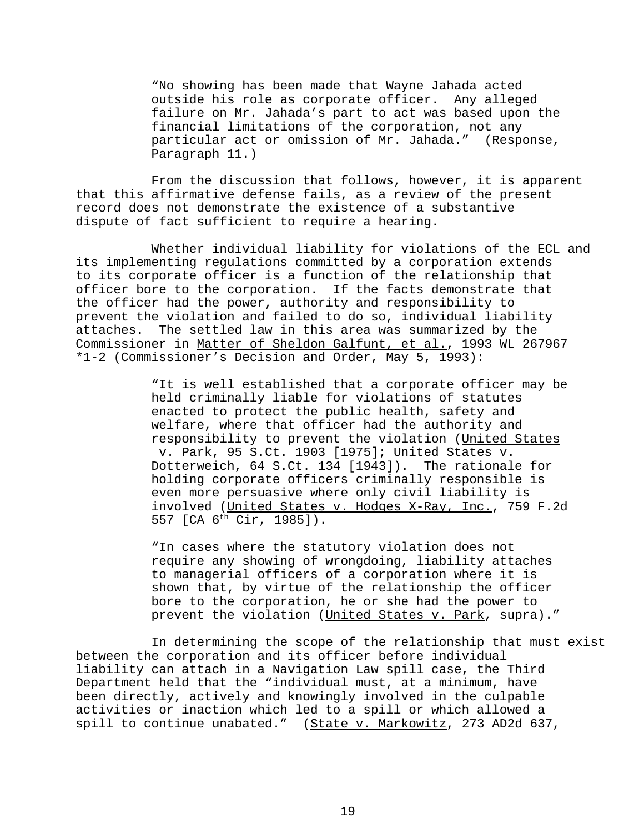"No showing has been made that Wayne Jahada acted outside his role as corporate officer. Any alleged failure on Mr. Jahada's part to act was based upon the financial limitations of the corporation, not any particular act or omission of Mr. Jahada." (Response, Paragraph 11.)

From the discussion that follows, however, it is apparent that this affirmative defense fails, as a review of the present record does not demonstrate the existence of a substantive dispute of fact sufficient to require a hearing.

Whether individual liability for violations of the ECL and its implementing regulations committed by a corporation extends to its corporate officer is a function of the relationship that officer bore to the corporation. If the facts demonstrate that the officer had the power, authority and responsibility to prevent the violation and failed to do so, individual liability attaches. The settled law in this area was summarized by the Commissioner in Matter of Sheldon Galfunt, et al., 1993 WL 267967 \*1-2 (Commissioner's Decision and Order, May 5, 1993):

> "It is well established that a corporate officer may be held criminally liable for violations of statutes enacted to protect the public health, safety and welfare, where that officer had the authority and responsibility to prevent the violation (United States v. Park, 95 S.Ct. 1903 [1975]; United States v. Dotterweich, 64 S.Ct. 134 [1943]). The rationale for holding corporate officers criminally responsible is even more persuasive where only civil liability is involved (United States v. Hodges X-Ray, Inc., 759 F.2d 557 [CA 6th Cir, 1985]).

"In cases where the statutory violation does not require any showing of wrongdoing, liability attaches to managerial officers of a corporation where it is shown that, by virtue of the relationship the officer bore to the corporation, he or she had the power to prevent the violation (United States v. Park, supra)."

In determining the scope of the relationship that must exist between the corporation and its officer before individual liability can attach in a Navigation Law spill case, the Third Department held that the "individual must, at a minimum, have been directly, actively and knowingly involved in the culpable activities or inaction which led to a spill or which allowed a spill to continue unabated." (State v. Markowitz, 273 AD2d 637,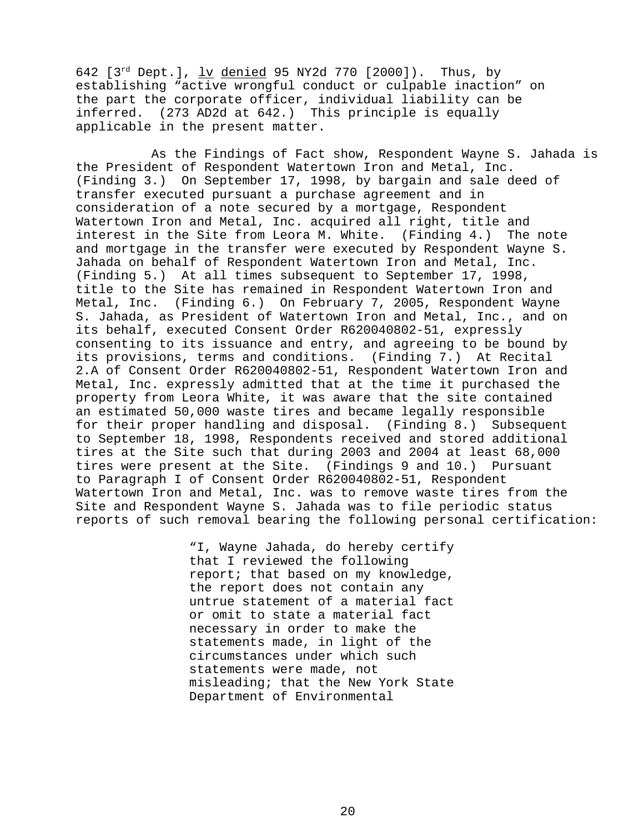642  $[3^{rd}$  Dept.],  $\underline{lv}$  denied 95 NY2d 770  $[2000]$ ). Thus, by establishing "active wrongful conduct or culpable inaction" on the part the corporate officer, individual liability can be inferred. (273 AD2d at 642.) This principle is equally applicable in the present matter.

As the Findings of Fact show, Respondent Wayne S. Jahada is the President of Respondent Watertown Iron and Metal, Inc. (Finding 3.) On September 17, 1998, by bargain and sale deed of transfer executed pursuant a purchase agreement and in consideration of a note secured by a mortgage, Respondent Watertown Iron and Metal, Inc. acquired all right, title and interest in the Site from Leora M. White. (Finding 4.) The note and mortgage in the transfer were executed by Respondent Wayne S. Jahada on behalf of Respondent Watertown Iron and Metal, Inc. (Finding 5.) At all times subsequent to September 17, 1998, title to the Site has remained in Respondent Watertown Iron and Metal, Inc. (Finding 6.) On February 7, 2005, Respondent Wayne S. Jahada, as President of Watertown Iron and Metal, Inc., and on its behalf, executed Consent Order R620040802-51, expressly consenting to its issuance and entry, and agreeing to be bound by its provisions, terms and conditions. (Finding 7.) At Recital 2.A of Consent Order R620040802-51, Respondent Watertown Iron and Metal, Inc. expressly admitted that at the time it purchased the property from Leora White, it was aware that the site contained an estimated 50,000 waste tires and became legally responsible for their proper handling and disposal. (Finding 8.) Subsequent to September 18, 1998, Respondents received and stored additional tires at the Site such that during 2003 and 2004 at least 68,000 tires were present at the Site. (Findings 9 and 10.) Pursuant to Paragraph I of Consent Order R620040802-51, Respondent Watertown Iron and Metal, Inc. was to remove waste tires from the Site and Respondent Wayne S. Jahada was to file periodic status reports of such removal bearing the following personal certification:

> "I, Wayne Jahada, do hereby certify that I reviewed the following report; that based on my knowledge, the report does not contain any untrue statement of a material fact or omit to state a material fact necessary in order to make the statements made, in light of the circumstances under which such statements were made, not misleading; that the New York State Department of Environmental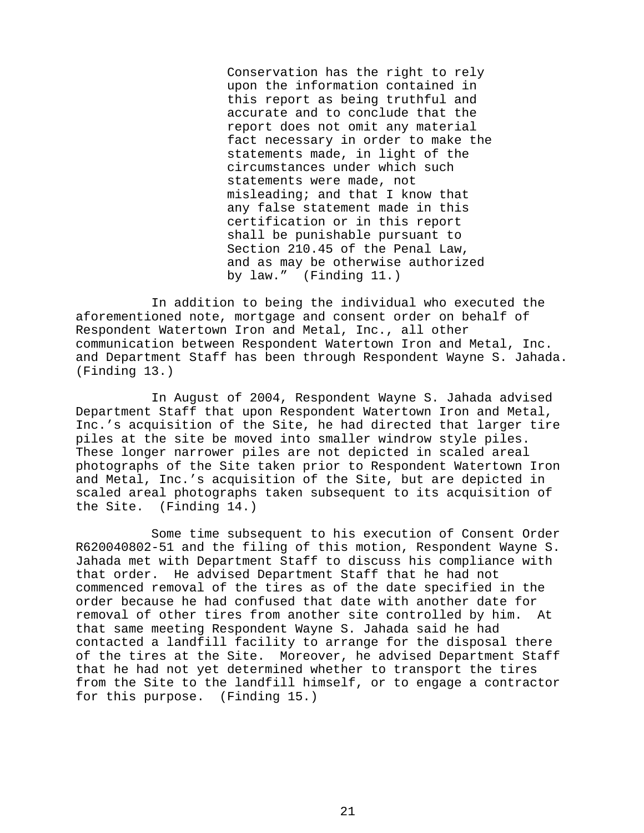Conservation has the right to rely upon the information contained in this report as being truthful and accurate and to conclude that the report does not omit any material fact necessary in order to make the statements made, in light of the circumstances under which such statements were made, not misleading; and that I know that any false statement made in this certification or in this report shall be punishable pursuant to Section 210.45 of the Penal Law, and as may be otherwise authorized by law." (Finding 11.)

In addition to being the individual who executed the aforementioned note, mortgage and consent order on behalf of Respondent Watertown Iron and Metal, Inc., all other communication between Respondent Watertown Iron and Metal, Inc. and Department Staff has been through Respondent Wayne S. Jahada. (Finding 13.)

In August of 2004, Respondent Wayne S. Jahada advised Department Staff that upon Respondent Watertown Iron and Metal, Inc.'s acquisition of the Site, he had directed that larger tire piles at the site be moved into smaller windrow style piles. These longer narrower piles are not depicted in scaled areal photographs of the Site taken prior to Respondent Watertown Iron and Metal, Inc.'s acquisition of the Site, but are depicted in scaled areal photographs taken subsequent to its acquisition of the Site. (Finding 14.)

Some time subsequent to his execution of Consent Order R620040802-51 and the filing of this motion, Respondent Wayne S. Jahada met with Department Staff to discuss his compliance with that order. He advised Department Staff that he had not commenced removal of the tires as of the date specified in the order because he had confused that date with another date for removal of other tires from another site controlled by him. At that same meeting Respondent Wayne S. Jahada said he had contacted a landfill facility to arrange for the disposal there of the tires at the Site. Moreover, he advised Department Staff that he had not yet determined whether to transport the tires from the Site to the landfill himself, or to engage a contractor for this purpose. (Finding 15.)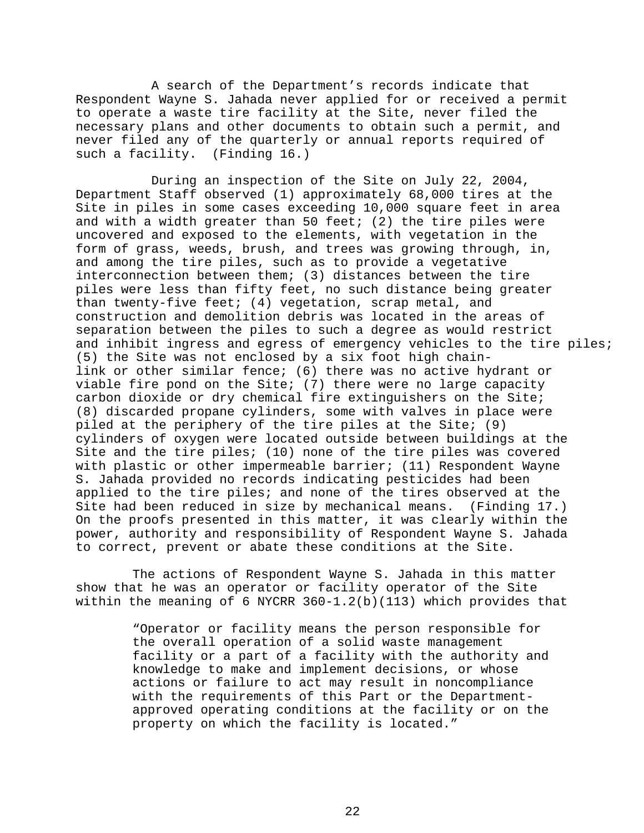A search of the Department's records indicate that Respondent Wayne S. Jahada never applied for or received a permit to operate a waste tire facility at the Site, never filed the necessary plans and other documents to obtain such a permit, and never filed any of the quarterly or annual reports required of such a facility. (Finding 16.)

During an inspection of the Site on July 22, 2004, Department Staff observed (1) approximately 68,000 tires at the Site in piles in some cases exceeding 10,000 square feet in area and with a width greater than 50 feet; (2) the tire piles were uncovered and exposed to the elements, with vegetation in the form of grass, weeds, brush, and trees was growing through, in, and among the tire piles, such as to provide a vegetative interconnection between them; (3) distances between the tire piles were less than fifty feet, no such distance being greater than twenty-five feet; (4) vegetation, scrap metal, and construction and demolition debris was located in the areas of separation between the piles to such a degree as would restrict and inhibit ingress and egress of emergency vehicles to the tire piles; (5) the Site was not enclosed by a six foot high chainlink or other similar fence; (6) there was no active hydrant or viable fire pond on the Site; (7) there were no large capacity carbon dioxide or dry chemical fire extinguishers on the Site; (8) discarded propane cylinders, some with valves in place were piled at the periphery of the tire piles at the Site; (9) cylinders of oxygen were located outside between buildings at the Site and the tire piles; (10) none of the tire piles was covered with plastic or other impermeable barrier; (11) Respondent Wayne S. Jahada provided no records indicating pesticides had been applied to the tire piles; and none of the tires observed at the Site had been reduced in size by mechanical means. (Finding 17.) On the proofs presented in this matter, it was clearly within the power, authority and responsibility of Respondent Wayne S. Jahada to correct, prevent or abate these conditions at the Site.

The actions of Respondent Wayne S. Jahada in this matter show that he was an operator or facility operator of the Site within the meaning of 6 NYCRR 360-1.2(b)(113) which provides that

> "Operator or facility means the person responsible for the overall operation of a solid waste management facility or a part of a facility with the authority and knowledge to make and implement decisions, or whose actions or failure to act may result in noncompliance with the requirements of this Part or the Departmentapproved operating conditions at the facility or on the property on which the facility is located."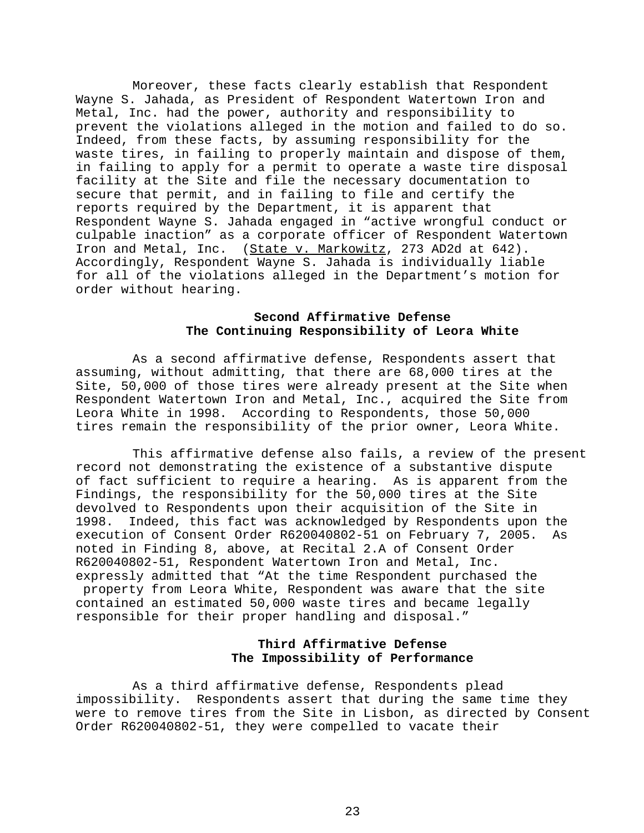Moreover, these facts clearly establish that Respondent Wayne S. Jahada, as President of Respondent Watertown Iron and Metal, Inc. had the power, authority and responsibility to prevent the violations alleged in the motion and failed to do so. Indeed, from these facts, by assuming responsibility for the waste tires, in failing to properly maintain and dispose of them, in failing to apply for a permit to operate a waste tire disposal facility at the Site and file the necessary documentation to secure that permit, and in failing to file and certify the reports required by the Department, it is apparent that Respondent Wayne S. Jahada engaged in "active wrongful conduct or culpable inaction" as a corporate officer of Respondent Watertown<br>Iron and Metal, Inc. (State v. Markowitz, 273 AD2d at 642). (State v. Markowitz, 273 AD2d at 642). Accordingly, Respondent Wayne S. Jahada is individually liable for all of the violations alleged in the Department's motion for order without hearing.

## **Second Affirmative Defense The Continuing Responsibility of Leora White**

As a second affirmative defense, Respondents assert that assuming, without admitting, that there are 68,000 tires at the Site, 50,000 of those tires were already present at the Site when Respondent Watertown Iron and Metal, Inc., acquired the Site from Leora White in 1998. According to Respondents, those 50,000 tires remain the responsibility of the prior owner, Leora White.

This affirmative defense also fails, a review of the present record not demonstrating the existence of a substantive dispute of fact sufficient to require a hearing. As is apparent from the Findings, the responsibility for the 50,000 tires at the Site devolved to Respondents upon their acquisition of the Site in 1998. Indeed, this fact was acknowledged by Respondents upon the execution of Consent Order R620040802-51 on February 7, 2005. As noted in Finding 8, above, at Recital 2.A of Consent Order R620040802-51, Respondent Watertown Iron and Metal, Inc. expressly admitted that "At the time Respondent purchased the property from Leora White, Respondent was aware that the site contained an estimated 50,000 waste tires and became legally responsible for their proper handling and disposal."

# **Third Affirmative Defense The Impossibility of Performance**

As a third affirmative defense, Respondents plead impossibility. Respondents assert that during the same time they were to remove tires from the Site in Lisbon, as directed by Consent Order R620040802-51, they were compelled to vacate their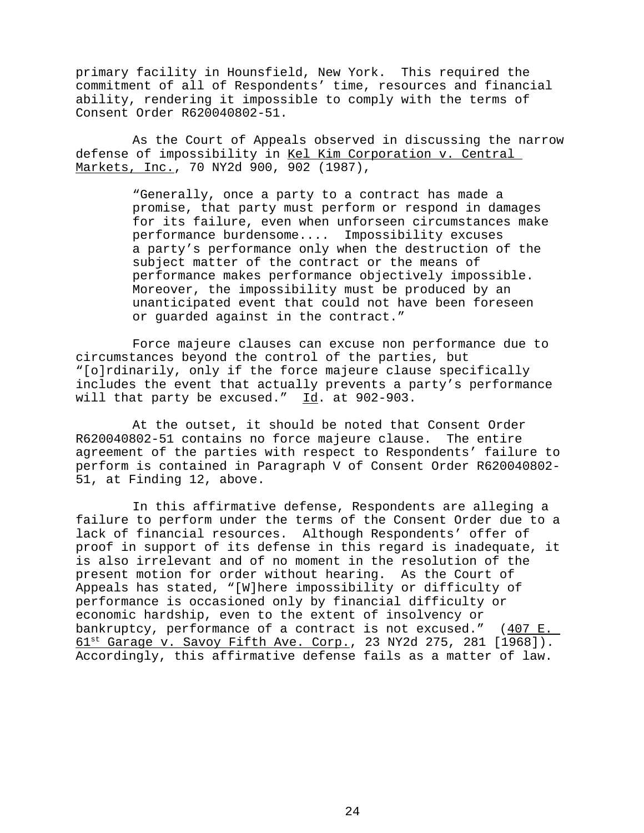primary facility in Hounsfield, New York. This required the commitment of all of Respondents' time, resources and financial ability, rendering it impossible to comply with the terms of Consent Order R620040802-51.

As the Court of Appeals observed in discussing the narrow defense of impossibility in Kel Kim Corporation v. Central Markets, Inc., 70 NY2d 900, 902 (1987),

> "Generally, once a party to a contract has made a promise, that party must perform or respond in damages for its failure, even when unforseen circumstances make performance burdensome.... Impossibility excuses a party's performance only when the destruction of the subject matter of the contract or the means of performance makes performance objectively impossible. Moreover, the impossibility must be produced by an unanticipated event that could not have been foreseen or guarded against in the contract."

Force majeure clauses can excuse non performance due to circumstances beyond the control of the parties, but "[o]rdinarily, only if the force majeure clause specifically includes the event that actually prevents a party's performance will that party be excused." Id. at 902-903.

At the outset, it should be noted that Consent Order R620040802-51 contains no force majeure clause. The entire agreement of the parties with respect to Respondents' failure to perform is contained in Paragraph V of Consent Order R620040802- 51, at Finding 12, above.

In this affirmative defense, Respondents are alleging a failure to perform under the terms of the Consent Order due to a lack of financial resources. Although Respondents' offer of proof in support of its defense in this regard is inadequate, it is also irrelevant and of no moment in the resolution of the present motion for order without hearing. As the Court of Appeals has stated, "[W]here impossibility or difficulty of performance is occasioned only by financial difficulty or economic hardship, even to the extent of insolvency or bankruptcy, performance of a contract is not excused."  $(407 \text{ E.})$ 61<sup>st</sup> Garage v. Savoy Fifth Ave. Corp., 23 NY2d 275, 281 [1968]). Accordingly, this affirmative defense fails as a matter of law.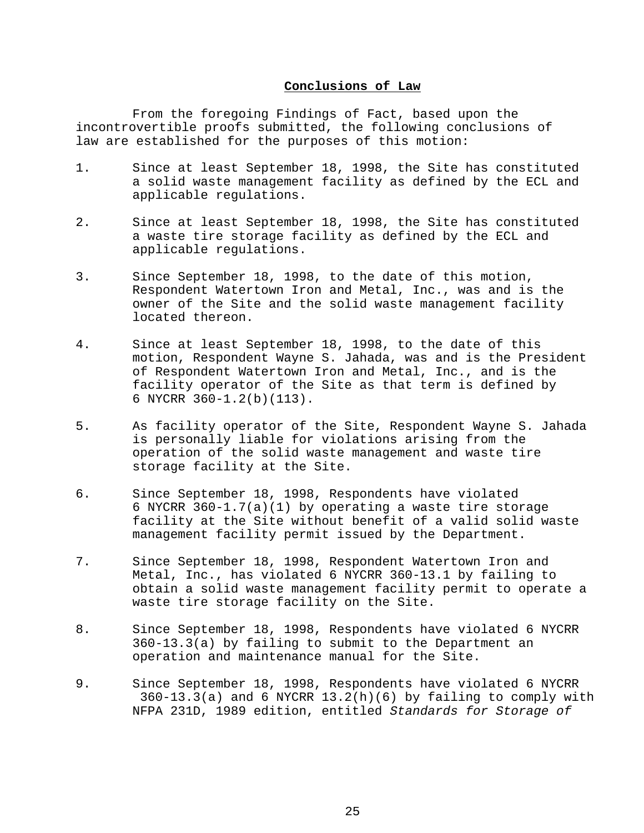## **Conclusions of Law**

From the foregoing Findings of Fact, based upon the incontrovertible proofs submitted, the following conclusions of law are established for the purposes of this motion:

- 1. Since at least September 18, 1998, the Site has constituted a solid waste management facility as defined by the ECL and applicable regulations.
- 2. Since at least September 18, 1998, the Site has constituted a waste tire storage facility as defined by the ECL and applicable regulations.
- 3. Since September 18, 1998, to the date of this motion, Respondent Watertown Iron and Metal, Inc., was and is the owner of the Site and the solid waste management facility located thereon.
- 4. Since at least September 18, 1998, to the date of this motion, Respondent Wayne S. Jahada, was and is the President of Respondent Watertown Iron and Metal, Inc., and is the facility operator of the Site as that term is defined by 6 NYCRR 360-1.2(b)(113).
- 5. As facility operator of the Site, Respondent Wayne S. Jahada is personally liable for violations arising from the operation of the solid waste management and waste tire storage facility at the Site.
- 6. Since September 18, 1998, Respondents have violated 6 NYCRR 360-1.7(a)(1) by operating a waste tire storage facility at the Site without benefit of a valid solid waste management facility permit issued by the Department.
- 7. Since September 18, 1998, Respondent Watertown Iron and Metal, Inc., has violated 6 NYCRR 360-13.1 by failing to obtain a solid waste management facility permit to operate a waste tire storage facility on the Site.
- 8. Since September 18, 1998, Respondents have violated 6 NYCRR 360-13.3(a) by failing to submit to the Department an operation and maintenance manual for the Site.
- 9. Since September 18, 1998, Respondents have violated 6 NYCRR  $360-13.3(a)$  and 6 NYCRR  $13.2(h)(6)$  by failing to comply with NFPA 231D, 1989 edition, entitled *Standards for Storage of*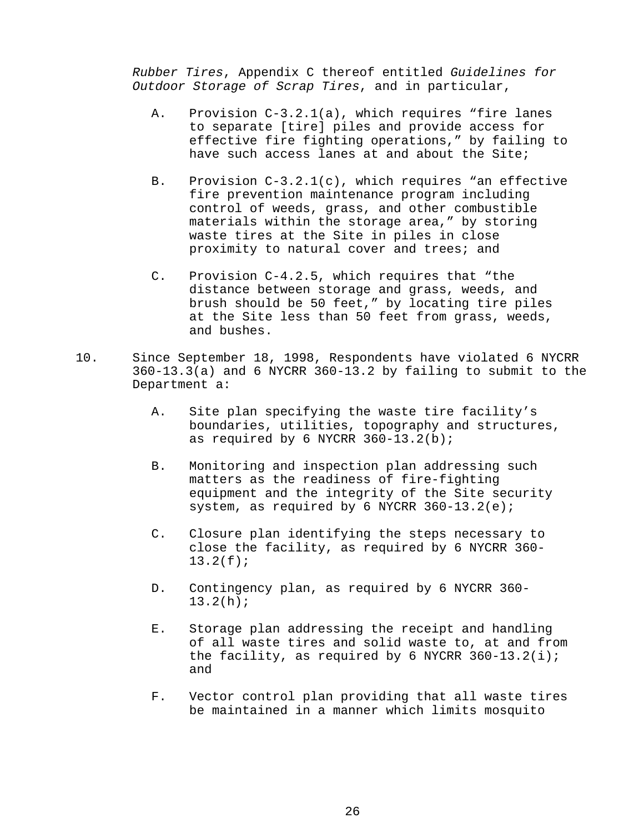*Rubber Tires*, Appendix C thereof entitled *Guidelines for Outdoor Storage of Scrap Tires*, and in particular,

- A. Provision C-3.2.1(a), which requires "fire lanes to separate [tire] piles and provide access for effective fire fighting operations," by failing to have such access lanes at and about the Site;
- B. Provision C-3.2.1(c), which requires "an effective fire prevention maintenance program including control of weeds, grass, and other combustible materials within the storage area," by storing waste tires at the Site in piles in close proximity to natural cover and trees; and
- C. Provision C-4.2.5, which requires that "the distance between storage and grass, weeds, and brush should be 50 feet," by locating tire piles at the Site less than 50 feet from grass, weeds, and bushes.
- 10. Since September 18, 1998, Respondents have violated 6 NYCRR 360-13.3(a) and 6 NYCRR 360-13.2 by failing to submit to the Department a:
	- A. Site plan specifying the waste tire facility's boundaries, utilities, topography and structures, as required by 6 NYCRR 360-13.2(b);
	- B. Monitoring and inspection plan addressing such matters as the readiness of fire-fighting equipment and the integrity of the Site security system, as required by 6 NYCRR 360-13.2(e);
	- C. Closure plan identifying the steps necessary to close the facility, as required by 6 NYCRR 360- 13.2(f);
	- D. Contingency plan, as required by 6 NYCRR 360- 13.2(h);
	- E. Storage plan addressing the receipt and handling of all waste tires and solid waste to, at and from the facility, as required by 6 NYCRR  $360-13.2(i);$ and
	- F. Vector control plan providing that all waste tires be maintained in a manner which limits mosquito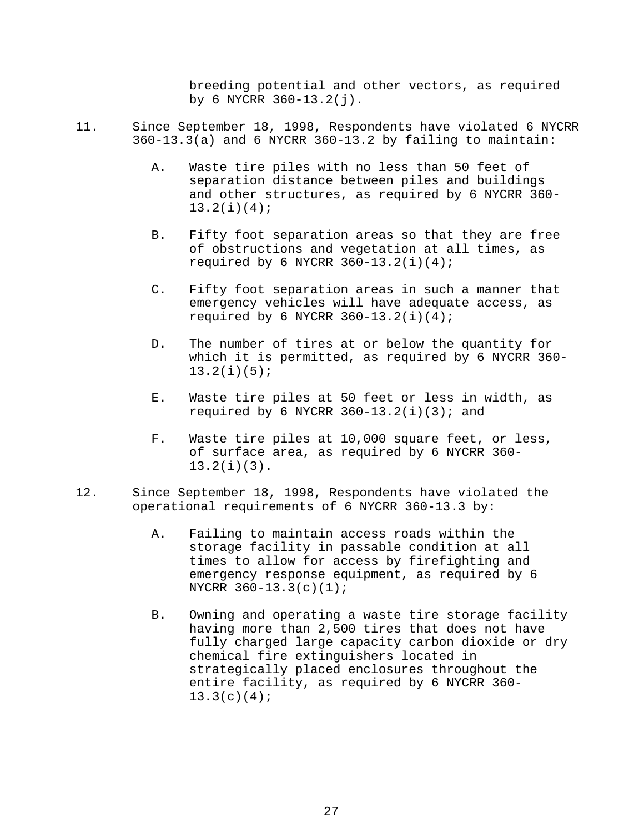breeding potential and other vectors, as required by 6 NYCRR  $360 - 13.2(j)$ .

- 11. Since September 18, 1998, Respondents have violated 6 NYCRR 360-13.3(a) and 6 NYCRR 360-13.2 by failing to maintain:
	- A. Waste tire piles with no less than 50 feet of separation distance between piles and buildings and other structures, as required by 6 NYCRR 360- 13.2(i)(4);
	- B. Fifty foot separation areas so that they are free of obstructions and vegetation at all times, as required by 6 NYCRR  $360-13.2(i)(4)$ ;
	- C. Fifty foot separation areas in such a manner that emergency vehicles will have adequate access, as required by 6 NYCRR  $360-13.2(i)(4)$ ;
	- D. The number of tires at or below the quantity for which it is permitted, as required by 6 NYCRR 360- 13.2(i)(5);
	- E. Waste tire piles at 50 feet or less in width, as required by 6 NYCRR  $360-13.2(i)(3)$ ; and
	- F. Waste tire piles at 10,000 square feet, or less, of surface area, as required by 6 NYCRR 360- 13.2(i)(3).
- 12. Since September 18, 1998, Respondents have violated the operational requirements of 6 NYCRR 360-13.3 by:
	- A. Failing to maintain access roads within the storage facility in passable condition at all times to allow for access by firefighting and emergency response equipment, as required by 6 NYCRR 360-13.3(c)(1);
	- B. Owning and operating a waste tire storage facility having more than 2,500 tires that does not have fully charged large capacity carbon dioxide or dry chemical fire extinguishers located in strategically placed enclosures throughout the entire facility, as required by 6 NYCRR 360-  $13.3(c)(4);$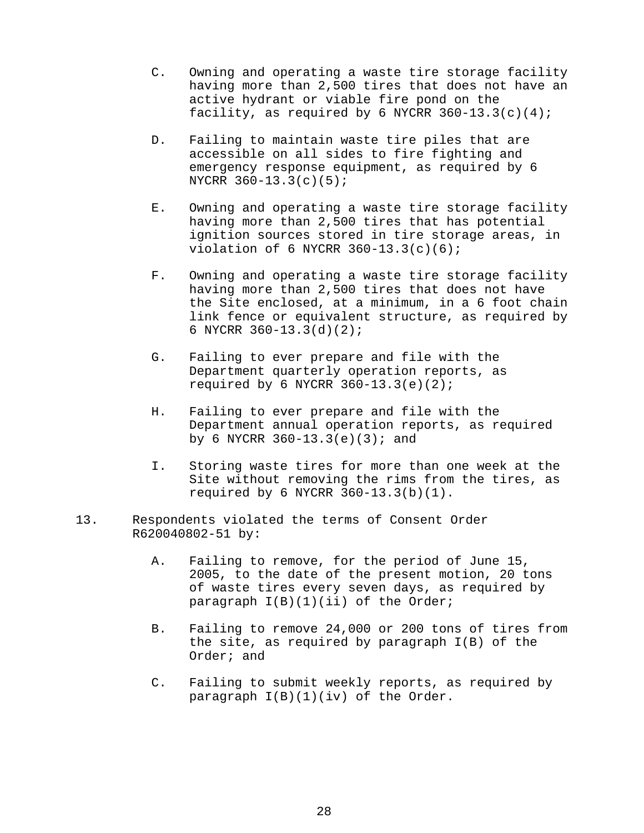- C. Owning and operating a waste tire storage facility having more than 2,500 tires that does not have an active hydrant or viable fire pond on the facility, as required by 6 NYCRR  $360-13.3(c)(4)$ ;
- D. Failing to maintain waste tire piles that are accessible on all sides to fire fighting and emergency response equipment, as required by 6 NYCRR 360-13.3(c)(5);
- E. Owning and operating a waste tire storage facility having more than 2,500 tires that has potential ignition sources stored in tire storage areas, in violation of 6 NYCRR  $360-13.3(c)(6)$ ;
- F. Owning and operating a waste tire storage facility having more than 2,500 tires that does not have the Site enclosed, at a minimum, in a 6 foot chain link fence or equivalent structure, as required by 6 NYCRR 360-13.3(d)(2);
- G. Failing to ever prepare and file with the Department quarterly operation reports, as required by 6 NYCRR  $360-13.3(e)(2)$ ;
- H. Failing to ever prepare and file with the Department annual operation reports, as required by 6 NYCRR  $360-13.3(e)(3)$ ; and
- I. Storing waste tires for more than one week at the Site without removing the rims from the tires, as required by 6 NYCRR  $360-13.3(b)(1)$ .
- 13. Respondents violated the terms of Consent Order R620040802-51 by:
	- A. Failing to remove, for the period of June 15, 2005, to the date of the present motion, 20 tons of waste tires every seven days, as required by paragraph I(B)(1)(ii) of the Order;
	- B. Failing to remove 24,000 or 200 tons of tires from the site, as required by paragraph I(B) of the Order; and
	- C. Failing to submit weekly reports, as required by paragraph I(B)(1)(iv) of the Order.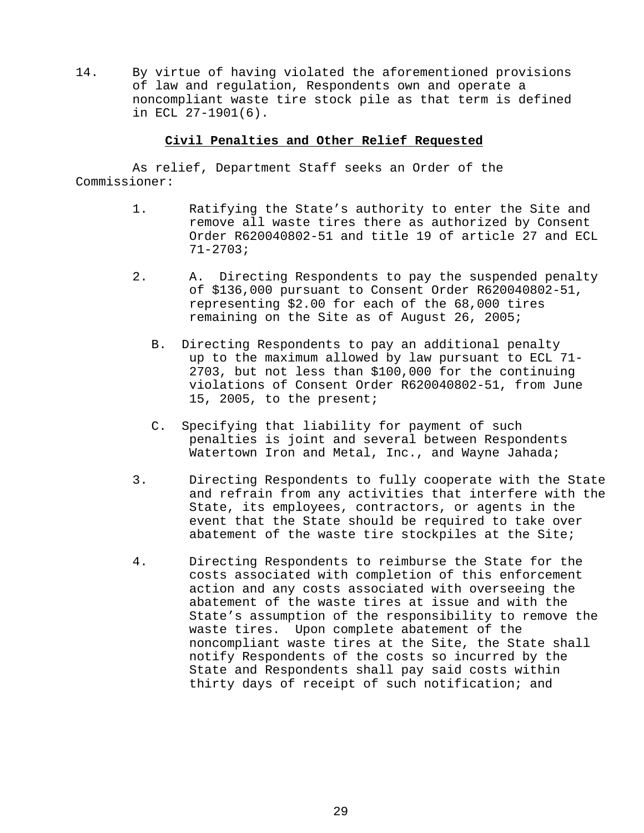14. By virtue of having violated the aforementioned provisions of law and regulation, Respondents own and operate a noncompliant waste tire stock pile as that term is defined in ECL 27-1901(6).

## **Civil Penalties and Other Relief Requested**

As relief, Department Staff seeks an Order of the Commissioner:

- 1. Ratifying the State's authority to enter the Site and remove all waste tires there as authorized by Consent Order R620040802-51 and title 19 of article 27 and ECL 71-2703;
- 2. A. Directing Respondents to pay the suspended penalty of \$136,000 pursuant to Consent Order R620040802-51, representing \$2.00 for each of the 68,000 tires remaining on the Site as of August 26, 2005;
	- B. Directing Respondents to pay an additional penalty up to the maximum allowed by law pursuant to ECL 71- 2703, but not less than \$100,000 for the continuing violations of Consent Order R620040802-51, from June 15, 2005, to the present;
	- C. Specifying that liability for payment of such penalties is joint and several between Respondents Watertown Iron and Metal, Inc., and Wayne Jahada;
- 3. Directing Respondents to fully cooperate with the State and refrain from any activities that interfere with the State, its employees, contractors, or agents in the event that the State should be required to take over abatement of the waste tire stockpiles at the Site;
- 4. Directing Respondents to reimburse the State for the costs associated with completion of this enforcement action and any costs associated with overseeing the abatement of the waste tires at issue and with the State's assumption of the responsibility to remove the waste tires. Upon complete abatement of the noncompliant waste tires at the Site, the State shall notify Respondents of the costs so incurred by the State and Respondents shall pay said costs within thirty days of receipt of such notification; and